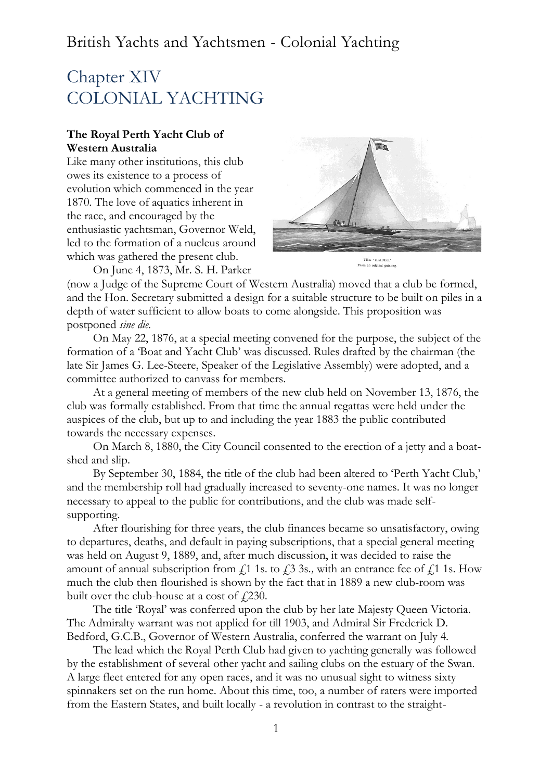# Chapter XIV COLONIAL YACHTING

## **The Royal Perth Yacht Club of Western Australia**

Like many other institutions, this club owes its existence to a process of evolution which commenced in the year 1870. The love of aquatics inherent in the race, and encouraged by the enthusiastic yachtsman, Governor Weld, led to the formation of a nucleus around which was gathered the present club.

On June 4, 1873, Mr. S. H. Parker



(now a Judge of the Supreme Court of Western Australia) moved that a club be formed, and the Hon. Secretary submitted a design for a suitable structure to be built on piles in a depth of water sufficient to allow boats to come alongside. This proposition was postponed *sine die.*

On May 22, 1876, at a special meeting convened for the purpose, the subject of the formation of a 'Boat and Yacht Club' was discussed. Rules drafted by the chairman (the late Sir James G. Lee-Steere, Speaker of the Legislative Assembly) were adopted, and a committee authorized to canvass for members.

At a general meeting of members of the new club held on November 13, 1876, the club was formally established. From that time the annual regattas were held under the auspices of the club, but up to and including the year 1883 the public contributed towards the necessary expenses.

On March 8, 1880, the City Council consented to the erection of a jetty and a boatshed and slip.

By September 30, 1884, the title of the club had been altered to 'Perth Yacht Club,' and the membership roll had gradually increased to seventy-one names. It was no longer necessary to appeal to the public for contributions, and the club was made selfsupporting.

After flourishing for three years, the club finances became so unsatisfactory, owing to departures, deaths, and default in paying subscriptions, that a special general meeting was held on August 9, 1889, and, after much discussion, it was decided to raise the amount of annual subscription from  $f_1$  1s. to  $f_1$  3s., with an entrance fee of  $f_1$  1s. How much the club then flourished is shown by the fact that in 1889 a new club-room was built over the club-house at a cost of  $\ell$  (230.

The title 'Royal' was conferred upon the club by her late Majesty Queen Victoria. The Admiralty warrant was not applied for till 1903, and Admiral Sir Frederick D. Bedford, G.C.B., Governor of Western Australia, conferred the warrant on July 4.

The lead which the Royal Perth Club had given to yachting generally was followed by the establishment of several other yacht and sailing clubs on the estuary of the Swan. A large fleet entered for any open races, and it was no unusual sight to witness sixty spinnakers set on the run home. About this time, too, a number of raters were imported from the Eastern States, and built locally - a revolution in contrast to the straight-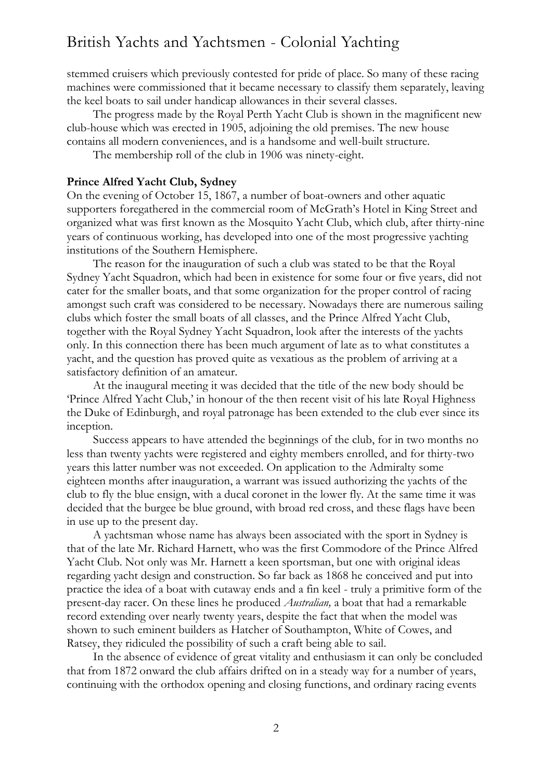stemmed cruisers which previously contested for pride of place. So many of these racing machines were commissioned that it became necessary to classify them separately, leaving the keel boats to sail under handicap allowances in their several classes.

The progress made by the Royal Perth Yacht Club is shown in the magnificent new club-house which was erected in 1905, adjoining the old premises. The new house contains all modern conveniences, and is a handsome and well-built structure.

The membership roll of the club in 1906 was ninety-eight.

#### **Prince Alfred Yacht Club, Sydney**

On the evening of October 15, 1867, a number of boat-owners and other aquatic supporters foregathered in the commercial room of McGrath's Hotel in King Street and organized what was first known as the Mosquito Yacht Club, which club, after thirty-nine years of continuous working, has developed into one of the most progressive yachting institutions of the Southern Hemisphere.

The reason for the inauguration of such a club was stated to be that the Royal Sydney Yacht Squadron, which had been in existence for some four or five years, did not cater for the smaller boats, and that some organization for the proper control of racing amongst such craft was considered to be necessary. Nowadays there are numerous sailing clubs which foster the small boats of all classes, and the Prince Alfred Yacht Club, together with the Royal Sydney Yacht Squadron, look after the interests of the yachts only. In this connection there has been much argument of late as to what constitutes a yacht, and the question has proved quite as vexatious as the problem of arriving at a satisfactory definition of an amateur.

At the inaugural meeting it was decided that the title of the new body should be 'Prince Alfred Yacht Club,' in honour of the then recent visit of his late Royal Highness the Duke of Edinburgh, and royal patronage has been extended to the club ever since its inception.

Success appears to have attended the beginnings of the club, for in two months no less than twenty yachts were registered and eighty members enrolled, and for thirty-two years this latter number was not exceeded. On application to the Admiralty some eighteen months after inauguration, a warrant was issued authorizing the yachts of the club to fly the blue ensign, with a ducal coronet in the lower fly. At the same time it was decided that the burgee be blue ground, with broad red cross, and these flags have been in use up to the present day.

A yachtsman whose name has always been associated with the sport in Sydney is that of the late Mr. Richard Harnett, who was the first Commodore of the Prince Alfred Yacht Club. Not only was Mr. Harnett a keen sportsman, but one with original ideas regarding yacht design and construction. So far back as 1868 he conceived and put into practice the idea of a boat with cutaway ends and a fin keel - truly a primitive form of the present-day racer. On these lines he produced *Australian,* a boat that had a remarkable record extending over nearly twenty years, despite the fact that when the model was shown to such eminent builders as Hatcher of Southampton, White of Cowes, and Ratsey, they ridiculed the possibility of such a craft being able to sail.

In the absence of evidence of great vitality and enthusiasm it can only be concluded that from 1872 onward the club affairs drifted on in a steady way for a number of years, continuing with the orthodox opening and closing functions, and ordinary racing events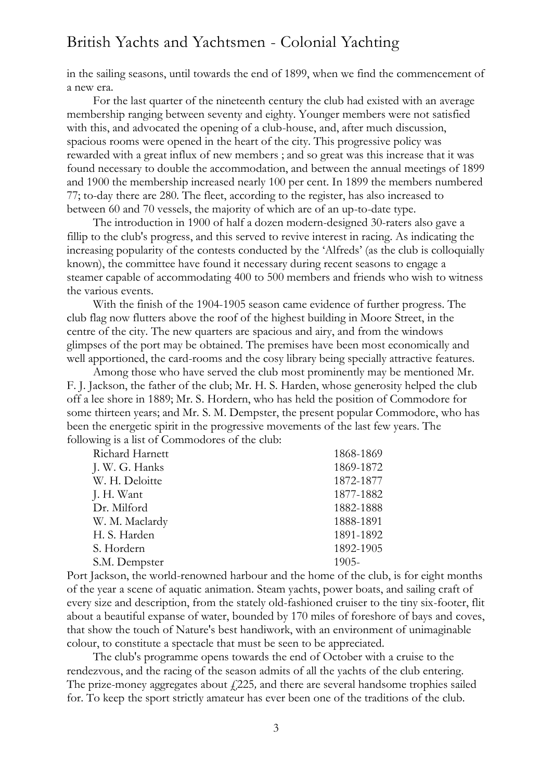in the sailing seasons, until towards the end of 1899, when we find the commencement of a new era.

For the last quarter of the nineteenth century the club had existed with an average membership ranging between seventy and eighty. Younger members were not satisfied with this, and advocated the opening of a club-house, and, after much discussion, spacious rooms were opened in the heart of the city. This progressive policy was rewarded with a great influx of new members ; and so great was this increase that it was found necessary to double the accommodation, and between the annual meetings of 1899 and 1900 the membership increased nearly 100 per cent. In 1899 the members numbered 77; to-day there are 280. The fleet, according to the register, has also increased to between 60 and 70 vessels, the majority of which are of an up-to-date type.

The introduction in 1900 of half a dozen modern-designed 30-raters also gave a fillip to the club's progress, and this served to revive interest in racing. As indicating the increasing popularity of the contests conducted by the 'Alfreds' (as the club is colloquially known), the committee have found it necessary during recent seasons to engage a steamer capable of accommodating 400 to 500 members and friends who wish to witness the various events.

With the finish of the 1904-1905 season came evidence of further progress. The club flag now flutters above the roof of the highest building in Moore Street, in the centre of the city. The new quarters are spacious and airy, and from the windows glimpses of the port may be obtained. The premises have been most economically and well apportioned, the card-rooms and the cosy library being specially attractive features.

Among those who have served the club most prominently may be mentioned Mr. F. J. Jackson, the father of the club; Mr. H. S. Harden, whose generosity helped the club off a lee shore in 1889; Mr. S. Hordern, who has held the position of Commodore for some thirteen years; and Mr. S. M. Dempster, the present popular Commodore, who has been the energetic spirit in the progressive movements of the last few years. The following is a list of Commodores of the club:

| Richard Harnett | 1868-1869 |
|-----------------|-----------|
| J. W. G. Hanks  | 1869-1872 |
| W. H. Deloitte  | 1872-1877 |
| J. H. Want      | 1877-1882 |
| Dr. Milford     | 1882-1888 |
| W. M. Maclardy  | 1888-1891 |
| H. S. Harden    | 1891-1892 |
| S. Hordern      | 1892-1905 |
| S.M. Dempster   | $1905 -$  |
|                 |           |

Port Jackson, the world-renowned harbour and the home of the club, is for eight months of the year a scene of aquatic animation. Steam yachts, power boats, and sailing craft of every size and description, from the stately old-fashioned cruiser to the tiny six-footer, flit about a beautiful expanse of water, bounded by 170 miles of foreshore of bays and coves, that show the touch of Nature's best handiwork, with an environment of unimaginable colour, to constitute a spectacle that must be seen to be appreciated.

The club's programme opens towards the end of October with a cruise to the rendezvous, and the racing of the season admits of all the yachts of the club entering. The prize-money aggregates about  $f(225)$ , and there are several handsome trophies sailed for. To keep the sport strictly amateur has ever been one of the traditions of the club.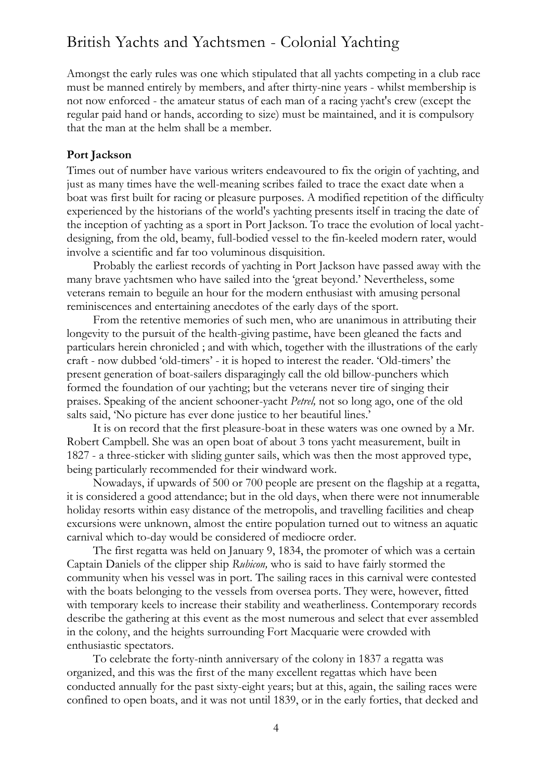Amongst the early rules was one which stipulated that all yachts competing in a club race must be manned entirely by members, and after thirty-nine years - whilst membership is not now enforced - the amateur status of each man of a racing yacht's crew (except the regular paid hand or hands, according to size) must be maintained, and it is compulsory that the man at the helm shall be a member.

#### **Port Jackson**

Times out of number have various writers endeavoured to fix the origin of yachting, and just as many times have the well-meaning scribes failed to trace the exact date when a boat was first built for racing or pleasure purposes. A modified repetition of the difficulty experienced by the historians of the world's yachting presents itself in tracing the date of the inception of yachting as a sport in Port Jackson. To trace the evolution of local yachtdesigning, from the old, beamy, full-bodied vessel to the fin-keeled modern rater, would involve a scientific and far too voluminous disquisition.

Probably the earliest records of yachting in Port Jackson have passed away with the many brave yachtsmen who have sailed into the 'great beyond.' Nevertheless, some veterans remain to beguile an hour for the modern enthusiast with amusing personal reminiscences and entertaining anecdotes of the early days of the sport.

From the retentive memories of such men, who are unanimous in attributing their longevity to the pursuit of the health-giving pastime, have been gleaned the facts and particulars herein chronicled ; and with which, together with the illustrations of the early craft - now dubbed 'old-timers' - it is hoped to interest the reader. 'Old-timers' the present generation of boat-sailers disparagingly call the old billow-punchers which formed the foundation of our yachting; but the veterans never tire of singing their praises. Speaking of the ancient schooner-yacht *Petrel,* not so long ago, one of the old salts said, 'No picture has ever done justice to her beautiful lines.'

It is on record that the first pleasure-boat in these waters was one owned by a Mr. Robert Campbell. She was an open boat of about 3 tons yacht measurement, built in 1827 - a three-sticker with sliding gunter sails, which was then the most approved type, being particularly recommended for their windward work.

Nowadays, if upwards of 500 or 700 people are present on the flagship at a regatta, it is considered a good attendance; but in the old days, when there were not innumerable holiday resorts within easy distance of the metropolis, and travelling facilities and cheap excursions were unknown, almost the entire population turned out to witness an aquatic carnival which to-day would be considered of mediocre order.

The first regatta was held on January 9, 1834, the promoter of which was a certain Captain Daniels of the clipper ship *Rubicon,* who is said to have fairly stormed the community when his vessel was in port. The sailing races in this carnival were contested with the boats belonging to the vessels from oversea ports. They were, however, fitted with temporary keels to increase their stability and weatherliness. Contemporary records describe the gathering at this event as the most numerous and select that ever assembled in the colony, and the heights surrounding Fort Macquarie were crowded with enthusiastic spectators.

To celebrate the forty-ninth anniversary of the colony in 1837 a regatta was organized, and this was the first of the many excellent regattas which have been conducted annually for the past sixty-eight years; but at this, again, the sailing races were confined to open boats, and it was not until 1839, or in the early forties, that decked and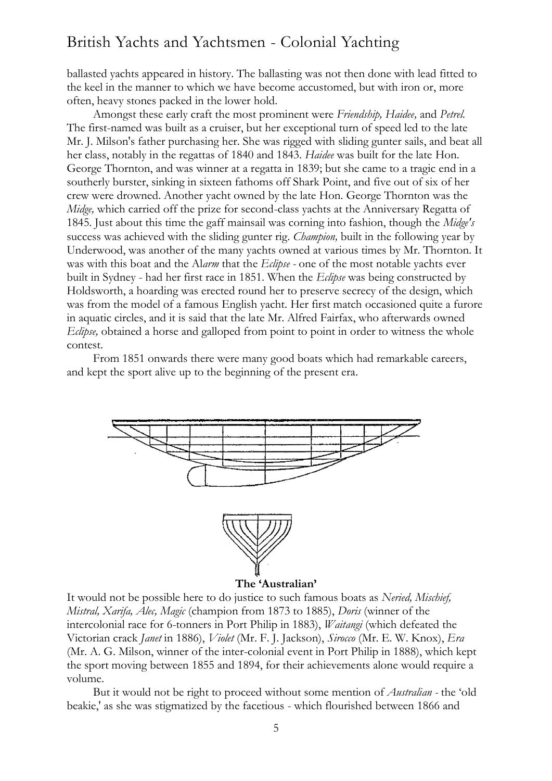ballasted yachts appeared in history. The ballasting was not then done with lead fitted to the keel in the manner to which we have become accustomed, but with iron or, more often, heavy stones packed in the lower hold.

Amongst these early craft the most prominent were *Friendship, Haidee,* and *Petrel.*  The first-named was built as a cruiser, but her exceptional turn of speed led to the late Mr. J. Milson's father purchasing her. She was rigged with sliding gunter sails, and beat all her class, notably in the regattas of 1840 and 1843. *Haidee* was built for the late Hon. George Thornton, and was winner at a regatta in 1839; but she came to a tragic end in a southerly burster, sinking in sixteen fathoms off Shark Point, and five out of six of her crew were drowned. Another yacht owned by the late Hon. George Thornton was the *Midge,* which carried off the prize for second-class yachts at the Anniversary Regatta of 1845. Just about this time the gaff mainsail was corning into fashion, though the *Midge's*  success was achieved with the sliding gunter rig. *Champion,* built in the following year by Underwood, was another of the many yachts owned at various times by Mr. Thornton. It was with this boat and the Al*arm* that the *Eclipse -* one of the most notable yachts ever built in Sydney - had her first race in 1851. When the *Eclipse* was being constructed by Holdsworth, a hoarding was erected round her to preserve secrecy of the design, which was from the model of a famous English yacht. Her first match occasioned quite a furore in aquatic circles, and it is said that the late Mr. Alfred Fairfax, who afterwards owned *Eclipse,* obtained a horse and galloped from point to point in order to witness the whole contest.

From 1851 onwards there were many good boats which had remarkable careers, and kept the sport alive up to the beginning of the present era.



It would not be possible here to do justice to such famous boats as *Neried, Mischief, Mistral, Xarifa, Alec, Magic* (champion from 1873 to 1885), *Doris* (winner of the intercolonial race for 6-tonners in Port Philip in 1883), *Waitangi* (which defeated the Victorian crack *Janet* in 1886), *Violet* (Mr. F. J. Jackson), *Sirocco* (Mr. E. W. Knox), *Era*  (Mr. A. G. Milson, winner of the inter-colonial event in Port Philip in 1888), which kept the sport moving between 1855 and 1894, for their achievements alone would require a volume.

But it would not be right to proceed without some mention of *Australian -* the 'old beakie,' as she was stigmatized by the facetious - which flourished between 1866 and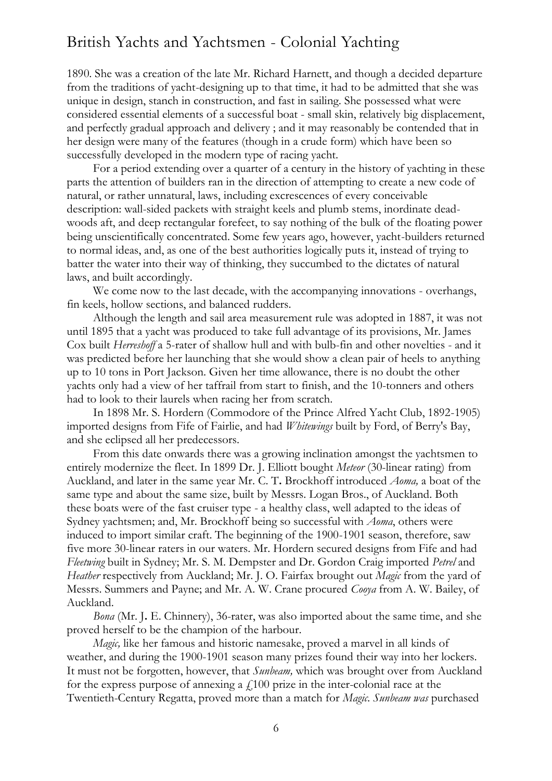1890. She was a creation of the late Mr. Richard Harnett, and though a decided departure from the traditions of yacht-designing up to that time, it had to be admitted that she was unique in design, stanch in construction, and fast in sailing. She possessed what were considered essential elements of a successful boat - small skin, relatively big displacement, and perfectly gradual approach and delivery ; and it may reasonably be contended that in her design were many of the features (though in a crude form) which have been so successfully developed in the modern type of racing yacht.

For a period extending over a quarter of a century in the history of yachting in these parts the attention of builders ran in the direction of attempting to create a new code of natural, or rather unnatural, laws, including excrescences of every conceivable description: wall-sided packets with straight keels and plumb stems, inordinate deadwoods aft, and deep rectangular forefeet, to say nothing of the bulk of the floating power being unscientifically concentrated. Some few years ago, however, yacht-builders returned to normal ideas, and, as one of the best authorities logically puts it, instead of trying to batter the water into their way of thinking, they succumbed to the dictates of natural laws, and built accordingly.

We come now to the last decade, with the accompanying innovations - overhangs, fin keels, hollow sections, and balanced rudders.

Although the length and sail area measurement rule was adopted in 1887, it was not until 1895 that a yacht was produced to take full advantage of its provisions, Mr. James Cox built *Herreshoff* a 5-rater of shallow hull and with bulb-fin and other novelties - and it was predicted before her launching that she would show a clean pair of heels to anything up to 10 tons in Port Jackson. Given her time allowance, there is no doubt the other yachts only had a view of her taffrail from start to finish, and the 10-tonners and others had to look to their laurels when racing her from scratch.

In 1898 Mr. S. Hordern (Commodore of the Prince Alfred Yacht Club, 1892-1905) imported designs from Fife of Fairlie, and had *Whitewings* built by Ford, of Berry's Bay, and she eclipsed all her predecessors.

From this date onwards there was a growing inclination amongst the yachtsmen to entirely modernize the fleet. In 1899 Dr. J. Elliott bought *Meteor* (30-linear rating) from Auckland, and later in the same year Mr. C. T**.** Brockhoff introduced *Aoma,* a boat of the same type and about the same size, built by Messrs. Logan Bros., of Auckland. Both these boats were of the fast cruiser type - a healthy class, well adapted to the ideas of Sydney yachtsmen; and, Mr. Brockhoff being so successful with *Aoma*, others were induced to import similar craft. The beginning of the 1900-1901 season, therefore, saw five more 30-linear raters in our waters. Mr. Hordern secured designs from Fife and had *Fleetwing* built in Sydney; Mr. S. M. Dempster and Dr. Gordon Craig imported *Petrel* and *Heather* respectively from Auckland; Mr. J. O. Fairfax brought out *Magic* from the yard of Messrs. Summers and Payne; and Mr. A. W. Crane procured *Cooya* from A. W. Bailey, of Auckland.

*Bona* (Mr. J**.** E. Chinnery), 36-rater, was also imported about the same time, and she proved herself to be the champion of the harbour.

*Magic,* like her famous and historic namesake, proved a marvel in all kinds of weather, and during the 1900-1901 season many prizes found their way into her lockers. It must not be forgotten, however, that *Sunbeam,* which was brought over from Auckland for the express purpose of annexing a  $f100$  prize in the inter-colonial race at the Twentieth-Century Regatta, proved more than a match for *Magic. Sunbeam was* purchased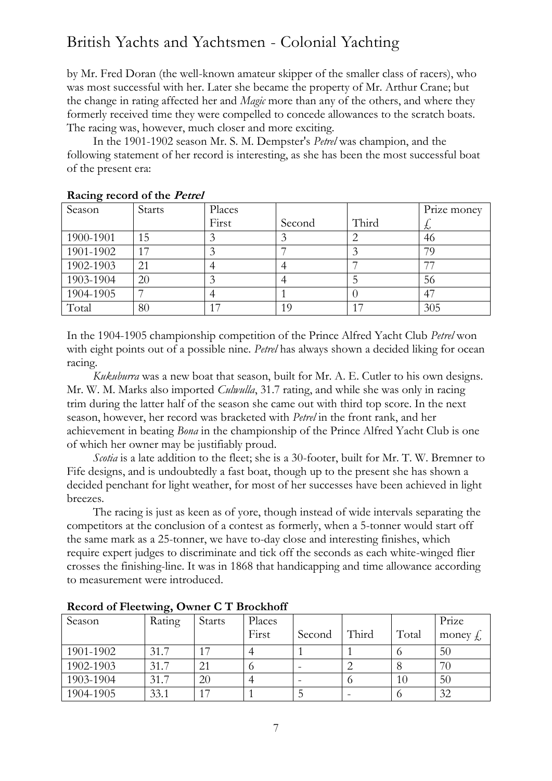by Mr. Fred Doran (the well-known amateur skipper of the smaller class of racers), who was most successful with her. Later she became the property of Mr. Arthur Crane; but the change in rating affected her and *Magic* more than any of the others, and where they formerly received time they were compelled to concede allowances to the scratch boats. The racing was, however, much closer and more exciting.

In the 1901-1902 season Mr. S. M. Dempster's *Petrel* was champion, and the following statement of her record is interesting, as she has been the most successful boat of the present era:

|           | Racing record of the Teach |        |        |       |             |  |
|-----------|----------------------------|--------|--------|-------|-------------|--|
| Season    | <b>Starts</b>              | Places |        |       | Prize money |  |
|           |                            | First  | Second | Third | た           |  |
| 1900-1901 | 15                         |        |        |       | 46          |  |
| 1901-1902 | 17                         |        |        |       | 79          |  |
| 1902-1903 | 21                         |        |        |       | 77          |  |
| 1903-1904 | 20                         |        |        |       | 56          |  |
| 1904-1905 |                            |        |        |       | 47          |  |
| Total     | 80                         |        | 19     | 17    | 305         |  |

**Racing record of the Petrel**

In the 1904-1905 championship competition of the Prince Alfred Yacht Club *Petrel* won with eight points out of a possible nine. *Petrel* has always shown a decided liking for ocean racing.

*Kukuburra* was a new boat that season, built for Mr. A. E. Cutler to his own designs. Mr. W. M. Marks also imported *Culwulla*, 31.7 rating, and while she was only in racing trim during the latter half of the season she came out with third top score. In the next season, however, her record was bracketed with *Petrel* in the front rank, and her achievement in beating *Bona* in the championship of the Prince Alfred Yacht Club is one of which her owner may be justifiably proud.

*Scotia* is a late addition to the fleet; she is a 30-footer, built for Mr. T. W. Bremner to Fife designs, and is undoubtedly a fast boat, though up to the present she has shown a decided penchant for light weather, for most of her successes have been achieved in light breezes.

The racing is just as keen as of yore, though instead of wide intervals separating the competitors at the conclusion of a contest as formerly, when a 5-tonner would start off the same mark as a 25-tonner, we have to-day close and interesting finishes, which require expert judges to discriminate and tick off the seconds as each white-winged flier crosses the finishing-line. It was in 1868 that handicapping and time allowance according to measurement were introduced.

| Season    | Rating | <b>Starts</b> | Places |        |       |       | Prize                  |
|-----------|--------|---------------|--------|--------|-------|-------|------------------------|
|           |        |               | First  | Second | Third | Total | money $\oint_{\gamma}$ |
| 1901-1902 | 31.7   |               |        |        |       |       | 50                     |
| 1902-1903 | 31.7   | 21            |        |        |       |       | 70                     |
| 1903-1904 | 31.7   | 20            |        |        |       | 10    | 50                     |
| 1904-1905 | 33.1   | っ             |        |        |       |       | 32                     |

**Record of Fleetwing, Owner C T Brockhoff**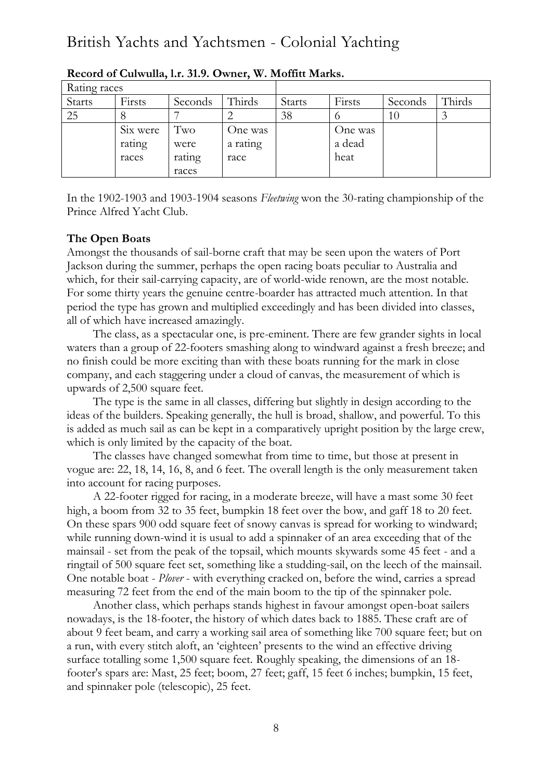| Rating races  |          |         |          |               |         |         |        |
|---------------|----------|---------|----------|---------------|---------|---------|--------|
| <b>Starts</b> | Firsts   | Seconds | Thirds   | <b>Starts</b> | Firsts  | Seconds | Thirds |
| 25            |          |         |          | 38            |         | 10      |        |
|               | Six were | Two     | One was  |               | One was |         |        |
|               | rating   | were    | a rating |               | a dead  |         |        |
|               | races    | rating  | race     |               | heat    |         |        |
|               |          | races   |          |               |         |         |        |

**Record of Culwulla, l.r. 31.9. Owner, W. Moffitt Marks.**

In the 1902-1903 and 1903-1904 seasons *Fleetwing* won the 30-rating championship of the Prince Alfred Yacht Club.

### **The Open Boats**

Amongst the thousands of sail-borne craft that may be seen upon the waters of Port Jackson during the summer, perhaps the open racing boats peculiar to Australia and which, for their sail-carrying capacity, are of world-wide renown, are the most notable. For some thirty years the genuine centre-boarder has attracted much attention. In that period the type has grown and multiplied exceedingly and has been divided into classes, all of which have increased amazingly.

The class, as a spectacular one, is pre-eminent. There are few grander sights in local waters than a group of 22-footers smashing along to windward against a fresh breeze; and no finish could be more exciting than with these boats running for the mark in close company, and each staggering under a cloud of canvas, the measurement of which is upwards of 2,500 square feet.

The type is the same in all classes, differing but slightly in design according to the ideas of the builders. Speaking generally, the hull is broad, shallow, and powerful. To this is added as much sail as can be kept in a comparatively upright position by the large crew, which is only limited by the capacity of the boat.

The classes have changed somewhat from time to time, but those at present in vogue are: 22, 18, 14, 16, 8, and 6 feet. The overall length is the only measurement taken into account for racing purposes.

A 22-footer rigged for racing, in a moderate breeze, will have a mast some 30 feet high, a boom from 32 to 35 feet, bumpkin 18 feet over the bow, and gaff 18 to 20 feet. On these spars 900 odd square feet of snowy canvas is spread for working to windward; while running down-wind it is usual to add a spinnaker of an area exceeding that of the mainsail - set from the peak of the topsail, which mounts skywards some 45 feet - and a ringtail of 500 square feet set, something like a studding-sail, on the leech of the mainsail. One notable boat - *Plover* - with everything cracked on, before the wind, carries a spread measuring 72 feet from the end of the main boom to the tip of the spinnaker pole.

Another class, which perhaps stands highest in favour amongst open-boat sailers nowadays, is the 18-footer, the history of which dates back to 1885. These craft are of about 9 feet beam, and carry a working sail area of something like 700 square feet; but on a run, with every stitch aloft, an 'eighteen' presents to the wind an effective driving surface totalling some 1,500 square feet. Roughly speaking, the dimensions of an 18 footer's spars are: Mast, 25 feet; boom, 27 feet; gaff, 15 feet 6 inches; bumpkin, 15 feet, and spinnaker pole (telescopic), 25 feet.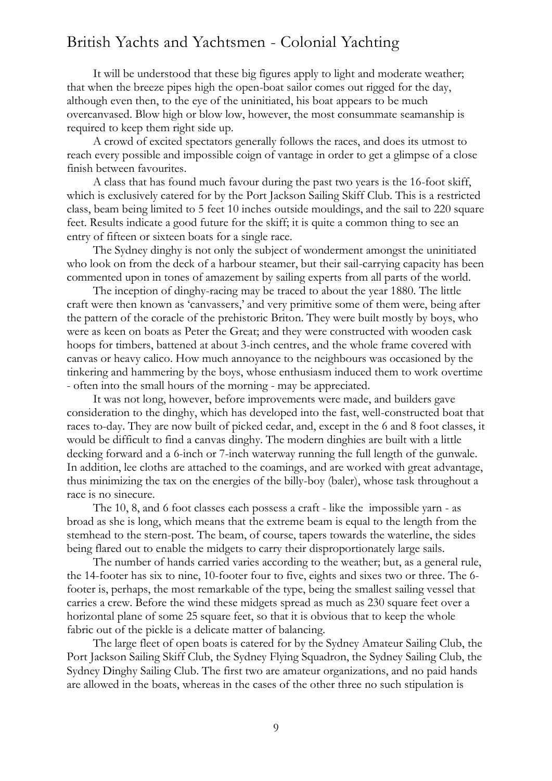It will be understood that these big figures apply to light and moderate weather; that when the breeze pipes high the open-boat sailor comes out rigged for the day, although even then, to the eye of the uninitiated, his boat appears to be much overcanvased. Blow high or blow low, however, the most consummate seamanship is required to keep them right side up.

A crowd of excited spectators generally follows the races, and does its utmost to reach every possible and impossible coign of vantage in order to get a glimpse of a close finish between favourites.

A class that has found much favour during the past two years is the 16-foot skiff, which is exclusively catered for by the Port Jackson Sailing Skiff Club. This is a restricted class, beam being limited to 5 feet 10 inches outside mouldings, and the sail to 220 square feet. Results indicate a good future for the skiff; it is quite a common thing to see an entry of fifteen or sixteen boats for a single race.

The Sydney dinghy is not only the subject of wonderment amongst the uninitiated who look on from the deck of a harbour steamer, but their sail-carrying capacity has been commented upon in tones of amazement by sailing experts from all parts of the world.

The inception of dinghy-racing may be traced to about the year 1880. The little craft were then known as 'canvassers,' and very primitive some of them were, being after the pattern of the coracle of the prehistoric Briton. They were built mostly by boys, who were as keen on boats as Peter the Great; and they were constructed with wooden cask hoops for timbers, battened at about 3-inch centres, and the whole frame covered with canvas or heavy calico. How much annoyance to the neighbours was occasioned by the tinkering and hammering by the boys, whose enthusiasm induced them to work overtime - often into the small hours of the morning - may be appreciated.

It was not long, however, before improvements were made, and builders gave consideration to the dinghy, which has developed into the fast, well-constructed boat that races to-day. They are now built of picked cedar, and, except in the 6 and 8 foot classes, it would be difficult to find a canvas dinghy. The modern dinghies are built with a little decking forward and a 6-inch or 7-inch waterway running the full length of the gunwale. In addition, lee cloths are attached to the coamings, and are worked with great advantage, thus minimizing the tax on the energies of the billy-boy (baler), whose task throughout a race is no sinecure.

The 10, 8, and 6 foot classes each possess a craft - like the impossible yarn - as broad as she is long, which means that the extreme beam is equal to the length from the stemhead to the stern-post. The beam, of course, tapers towards the waterline, the sides being flared out to enable the midgets to carry their disproportionately large sails.

The number of hands carried varies according to the weather; but, as a general rule, the 14-footer has six to nine, 10-footer four to five, eights and sixes two or three. The 6 footer is, perhaps, the most remarkable of the type, being the smallest sailing vessel that carries a crew. Before the wind these midgets spread as much as 230 square feet over a horizontal plane of some 25 square feet, so that it is obvious that to keep the whole fabric out of the pickle is a delicate matter of balancing.

The large fleet of open boats is catered for by the Sydney Amateur Sailing Club, the Port Jackson Sailing Skiff Club, the Sydney Flying Squadron, the Sydney Sailing Club, the Sydney Dinghy Sailing Club. The first two are amateur organizations, and no paid hands are allowed in the boats, whereas in the cases of the other three no such stipulation is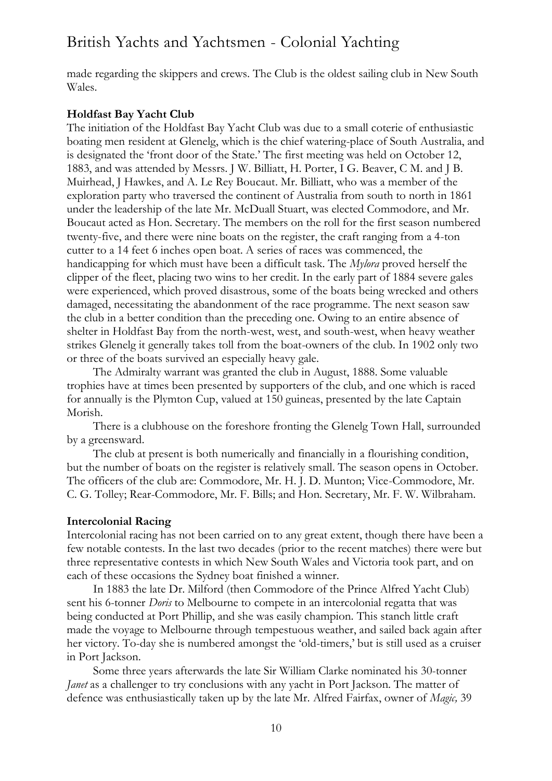made regarding the skippers and crews. The Club is the oldest sailing club in New South Wales.

#### **Holdfast Bay Yacht Club**

The initiation of the Holdfast Bay Yacht Club was due to a small coterie of enthusiastic boating men resident at Glenelg, which is the chief watering-place of South Australia, and is designated the 'front door of the State.' The first meeting was held on October 12, 1883, and was attended by Messrs. J W. Billiatt, H. Porter, I G. Beaver, C M. and J B. Muirhead, J Hawkes, and A. Le Rey Boucaut. Mr. Billiatt, who was a member of the exploration party who traversed the continent of Australia from south to north in 1861 under the leadership of the late Mr. McDuall Stuart, was elected Commodore, and Mr. Boucaut acted as Hon. Secretary. The members on the roll for the first season numbered twenty-five, and there were nine boats on the register, the craft ranging from a 4-ton cutter to a 14 feet 6 inches open boat. A series of races was commenced, the handicapping for which must have been a difficult task. The *Mylora* proved herself the clipper of the fleet, placing two wins to her credit. In the early part of 1884 severe gales were experienced, which proved disastrous, some of the boats being wrecked and others damaged, necessitating the abandonment of the race programme. The next season saw the club in a better condition than the preceding one. Owing to an entire absence of shelter in Holdfast Bay from the north-west, west, and south-west, when heavy weather strikes Glenelg it generally takes toll from the boat-owners of the club. In 1902 only two or three of the boats survived an especially heavy gale.

The Admiralty warrant was granted the club in August, 1888. Some valuable trophies have at times been presented by supporters of the club, and one which is raced for annually is the Plymton Cup, valued at 150 guineas, presented by the late Captain Morish.

There is a clubhouse on the foreshore fronting the Glenelg Town Hall, surrounded by a greensward.

The club at present is both numerically and financially in a flourishing condition, but the number of boats on the register is relatively small. The season opens in October. The officers of the club are: Commodore, Mr. H. J. D. Munton; Vice-Commodore, Mr. C. G. Tolley; Rear-Commodore, Mr. F. Bills; and Hon. Secretary, Mr. F. W. Wilbraham.

#### **Intercolonial Racing**

Intercolonial racing has not been carried on to any great extent, though there have been a few notable contests. In the last two decades (prior to the recent matches) there were but three representative contests in which New South Wales and Victoria took part, and on each of these occasions the Sydney boat finished a winner.

In 1883 the late Dr. Milford (then Commodore of the Prince Alfred Yacht Club) sent his 6-tonner *Doris* to Melbourne to compete in an intercolonial regatta that was being conducted at Port Phillip, and she was easily champion. This stanch little craft made the voyage to Melbourne through tempestuous weather, and sailed back again after her victory. To-day she is numbered amongst the 'old-timers,' but is still used as a cruiser in Port Jackson.

Some three years afterwards the late Sir William Clarke nominated his 30-tonner *Janet* as a challenger to try conclusions with any yacht in Port Jackson. The matter of defence was enthusiastically taken up by the late Mr. Alfred Fairfax, owner of *Magic,* 39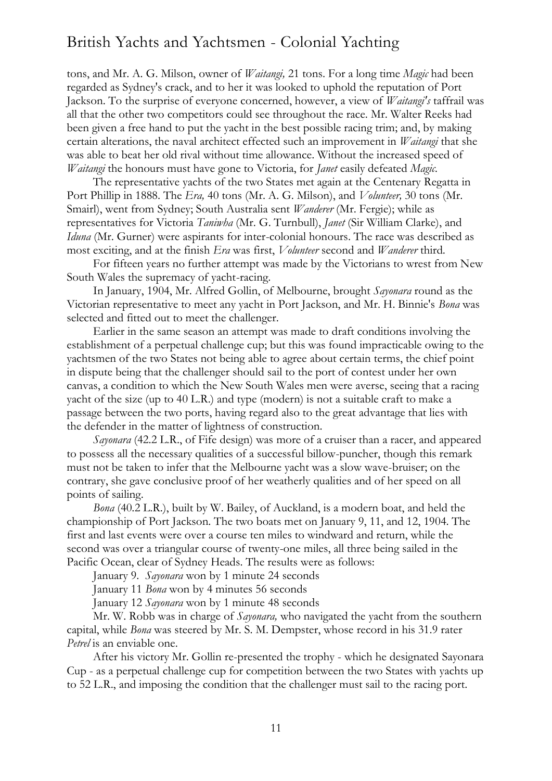tons, and Mr. A. G. Milson, owner of *Waitangi,* 21 tons. For a long time *Magic* had been regarded as Sydney's crack, and to her it was looked to uphold the reputation of Port Jackson. To the surprise of everyone concerned, however, a view of *Waitangi's* taffrail was all that the other two competitors could see throughout the race. Mr. Walter Reeks had been given a free hand to put the yacht in the best possible racing trim; and, by making certain alterations, the naval architect effected such an improvement in *Waitangi* that she was able to beat her old rival without time allowance. Without the increased speed of *Waitangi* the honours must have gone to Victoria, for *Janet* easily defeated *Magic.*

The representative yachts of the two States met again at the Centenary Regatta in Port Phillip in 1888. The *Era,* 40 tons (Mr. A. G. Milson), and *Volunteer,* 30 tons (Mr. Smairl), went from Sydney; South Australia sent *Wanderer* (Mr. Fergie); while as representatives for Victoria *Taniwha* (Mr. G. Turnbull), *Janet* (Sir William Clarke), and *Iduna* (Mr. Gurner) were aspirants for inter-colonial honours. The race was described as most exciting, and at the finish *Era* was first, *Volunteer* second and *Wanderer* third.

For fifteen years no further attempt was made by the Victorians to wrest from New South Wales the supremacy of yacht-racing.

In January, 1904, Mr. Alfred Gollin, of Melbourne, brought *Sayonara* round as the Victorian representative to meet any yacht in Port Jackson, and Mr. H. Binnie's *Bona* was selected and fitted out to meet the challenger.

Earlier in the same season an attempt was made to draft conditions involving the establishment of a perpetual challenge cup; but this was found impracticable owing to the yachtsmen of the two States not being able to agree about certain terms, the chief point in dispute being that the challenger should sail to the port of contest under her own canvas, a condition to which the New South Wales men were averse, seeing that a racing yacht of the size (up to 40 L.R.) and type (modern) is not a suitable craft to make a passage between the two ports, having regard also to the great advantage that lies with the defender in the matter of lightness of construction.

*Sayonara* (42.2 L.R., of Fife design) was more of a cruiser than a racer, and appeared to possess all the necessary qualities of a successful billow-puncher, though this remark must not be taken to infer that the Melbourne yacht was a slow wave-bruiser; on the contrary, she gave conclusive proof of her weatherly qualities and of her speed on all points of sailing.

*Bona* (40.2 L.R.), built by W. Bailey, of Auckland, is a modern boat, and held the championship of Port Jackson. The two boats met on January 9, 11, and 12, 1904. The first and last events were over a course ten miles to windward and return, while the second was over a triangular course of twenty-one miles, all three being sailed in the Pacific Ocean, clear of Sydney Heads. The results were as follows:

January 9. *Sayonara* won by 1 minute 24 seconds

January 11 *Bona* won by 4 minutes 56 seconds

January 12 *Sayonara* won by 1 minute 48 seconds

Mr. W. Robb was in charge of *Sayonara,* who navigated the yacht from the southern capital, while *Bona* was steered by Mr. S. M. Dempster, whose record in his 31.9 rater *Petrel* is an enviable one.

After his victory Mr. Gollin re-presented the trophy - which he designated Sayonara Cup - as a perpetual challenge cup for competition between the two States with yachts up to 52 L.R., and imposing the condition that the challenger must sail to the racing port.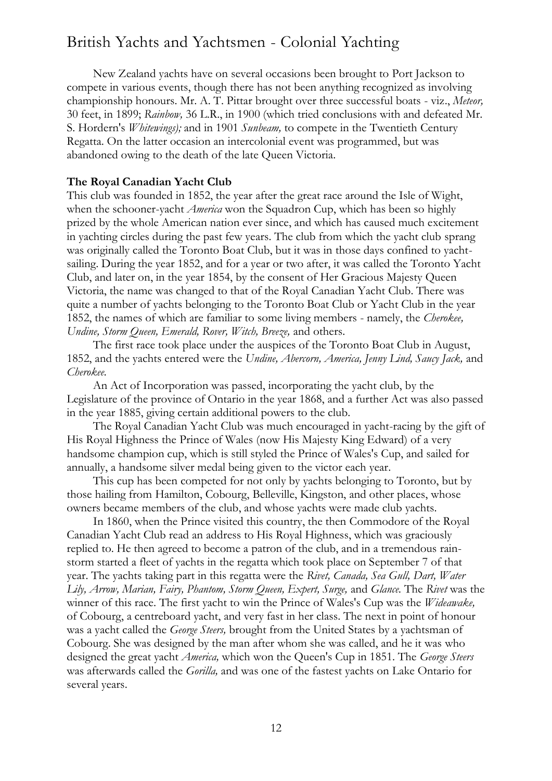New Zealand yachts have on several occasions been brought to Port Jackson to compete in various events, though there has not been anything recognized as involving championship honours. Mr. A. T. Pittar brought over three successful boats - viz., *Meteor,*  30 feet, in 1899; *Rainbow,* 36 L.R., in 1900 (which tried conclusions with and defeated Mr. S. Hordern's *Whitewings);* and in 1901 *Sunbeam,* to compete in the Twentieth Century Regatta. On the latter occasion an intercolonial event was programmed, but was abandoned owing to the death of the late Queen Victoria.

#### **The Royal Canadian Yacht Club**

This club was founded in 1852, the year after the great race around the Isle of Wight, when the schooner-yacht *America* won the Squadron Cup, which has been so highly prized by the whole American nation ever since, and which has caused much excitement in yachting circles during the past few years. The club from which the yacht club sprang was originally called the Toronto Boat Club, but it was in those days confined to yachtsailing. During the year 1852, and for a year or two after, it was called the Toronto Yacht Club, and later on, in the year 1854, by the consent of Her Gracious Majesty Queen Victoria, the name was changed to that of the Royal Canadian Yacht Club. There was quite a number of yachts belonging to the Toronto Boat Club or Yacht Club in the year 1852, the names of which are familiar to some living members - namely, the *Cherokee, Undine, Storm Queen, Emerald, Rover, Witch, Breeze,* and others.

The first race took place under the auspices of the Toronto Boat Club in August, 1852, and the yachts entered were the *Undine, Abercorn, America, Jenny Lind, Saucy Jack,* and *Cherokee.*

An Act of Incorporation was passed, incorporating the yacht club, by the Legislature of the province of Ontario in the year 1868, and a further Act was also passed in the year 1885, giving certain additional powers to the club.

The Royal Canadian Yacht Club was much encouraged in yacht-racing by the gift of His Royal Highness the Prince of Wales (now His Majesty King Edward) of a very handsome champion cup, which is still styled the Prince of Wales's Cup, and sailed for annually, a handsome silver medal being given to the victor each year.

This cup has been competed for not only by yachts belonging to Toronto, but by those hailing from Hamilton, Cobourg, Belleville, Kingston, and other places, whose owners became members of the club, and whose yachts were made club yachts.

In 1860, when the Prince visited this country, the then Commodore of the Royal Canadian Yacht Club read an address to His Royal Highness, which was graciously replied to. He then agreed to become a patron of the club, and in a tremendous rainstorm started a fleet of yachts in the regatta which took place on September 7 of that year. The yachts taking part in this regatta were the *Rivet, Canada, Sea Gull, Dart, Water Lily, Arrow, Marian, Fairy, Phantom, Storm Queen, Expert, Surge,* and *Glance.* The *Rivet* was the winner of this race. The first yacht to win the Prince of Wales's Cup was the *Wideawake,*  of Cobourg, a centreboard yacht, and very fast in her class. The next in point of honour was a yacht called the *George Steers,* brought from the United States by a yachtsman of Cobourg. She was designed by the man after whom she was called, and he it was who designed the great yacht *America,* which won the Queen's Cup in 1851. The *George Steers*  was afterwards called the *Gorilla,* and was one of the fastest yachts on Lake Ontario for several years.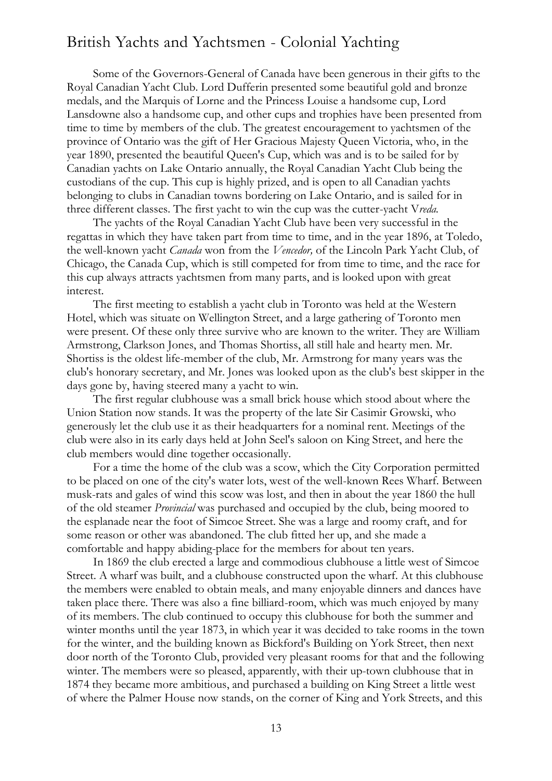Some of the Governors-General of Canada have been generous in their gifts to the Royal Canadian Yacht Club. Lord Dufferin presented some beautiful gold and bronze medals, and the Marquis of Lorne and the Princess Louise a handsome cup, Lord Lansdowne also a handsome cup, and other cups and trophies have been presented from time to time by members of the club. The greatest encouragement to yachtsmen of the province of Ontario was the gift of Her Gracious Majesty Queen Victoria, who, in the year 1890, presented the beautiful Queen's Cup, which was and is to be sailed for by Canadian yachts on Lake Ontario annually, the Royal Canadian Yacht Club being the custodians of the cup. This cup is highly prized, and is open to all Canadian yachts belonging to clubs in Canadian towns bordering on Lake Ontario, and is sailed for in three different classes. The first yacht to win the cup was the cutter-yacht V*reda.*

The yachts of the Royal Canadian Yacht Club have been very successful in the regattas in which they have taken part from time to time, and in the year 1896, at Toledo, the well-known yacht *Canada* won from the *Vencedor,* of the Lincoln Park Yacht Club, of Chicago, the Canada Cup, which is still competed for from time to time, and the race for this cup always attracts yachtsmen from many parts, and is looked upon with great interest.

The first meeting to establish a yacht club in Toronto was held at the Western Hotel, which was situate on Wellington Street, and a large gathering of Toronto men were present. Of these only three survive who are known to the writer. They are William Armstrong, Clarkson Jones, and Thomas Shortiss, all still hale and hearty men. Mr. Shortiss is the oldest life-member of the club, Mr. Armstrong for many years was the club's honorary secretary, and Mr. Jones was looked upon as the club's best skipper in the days gone by, having steered many a yacht to win.

The first regular clubhouse was a small brick house which stood about where the Union Station now stands. It was the property of the late Sir Casimir Growski, who generously let the club use it as their headquarters for a nominal rent. Meetings of the club were also in its early days held at John Seel's saloon on King Street, and here the club members would dine together occasionally.

For a time the home of the club was a scow, which the City Corporation permitted to be placed on one of the city's water lots, west of the well-known Rees Wharf. Between musk-rats and gales of wind this scow was lost, and then in about the year 1860 the hull of the old steamer *Provincial* was purchased and occupied by the club, being moored to the esplanade near the foot of Simcoe Street. She was a large and roomy craft, and for some reason or other was abandoned. The club fitted her up, and she made a comfortable and happy abiding-place for the members for about ten years.

In 1869 the club erected a large and commodious clubhouse a little west of Simcoe Street. A wharf was built, and a clubhouse constructed upon the wharf. At this clubhouse the members were enabled to obtain meals, and many enjoyable dinners and dances have taken place there. There was also a fine billiard-room, which was much enjoyed by many of its members. The club continued to occupy this clubhouse for both the summer and winter months until the year 1873, in which year it was decided to take rooms in the town for the winter, and the building known as Bickford's Building on York Street, then next door north of the Toronto Club, provided very pleasant rooms for that and the following winter. The members were so pleased, apparently, with their up-town clubhouse that in 1874 they became more ambitious, and purchased a building on King Street a little west of where the Palmer House now stands, on the corner of King and York Streets, and this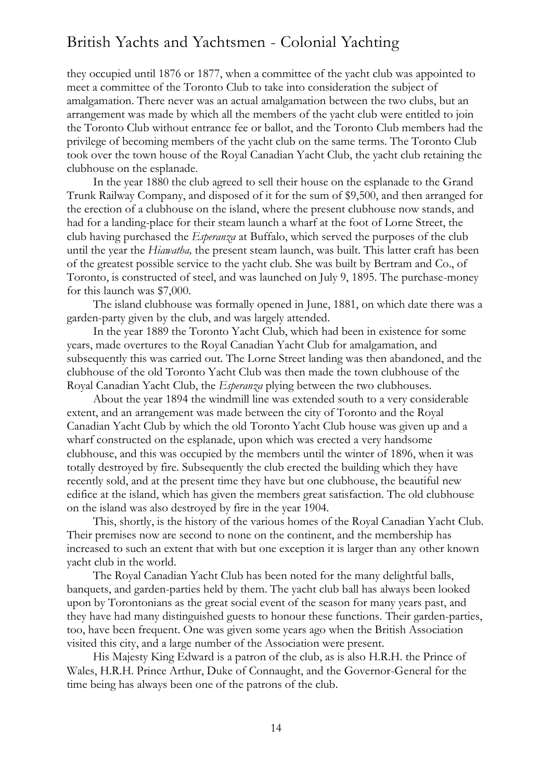they occupied until 1876 or 1877, when a committee of the yacht club was appointed to meet a committee of the Toronto Club to take into consideration the subject of amalgamation. There never was an actual amalgamation between the two clubs, but an arrangement was made by which all the members of the yacht club were entitled to join the Toronto Club without entrance fee or ballot, and the Toronto Club members had the privilege of becoming members of the yacht club on the same terms. The Toronto Club took over the town house of the Royal Canadian Yacht Club, the yacht club retaining the clubhouse on the esplanade.

In the year 1880 the club agreed to sell their house on the esplanade to the Grand Trunk Railway Company, and disposed of it for the sum of \$9,500, and then arranged for the erection of a clubhouse on the island, where the present clubhouse now stands, and had for a landing-place for their steam launch a wharf at the foot of Lorne Street, the club having purchased the *Esperanza* at Buffalo, which served the purposes of the club until the year the *Hiawatha,* the present steam launch, was built. This latter craft has been of the greatest possible service to the yacht club. She was built by Bertram and Co., of Toronto, is constructed of steel, and was launched on July 9, 1895. The purchase-money for this launch was \$7,000.

The island clubhouse was formally opened in June, 1881, on which date there was a garden-party given by the club, and was largely attended.

In the year 1889 the Toronto Yacht Club, which had been in existence for some years, made overtures to the Royal Canadian Yacht Club for amalgamation, and subsequently this was carried out. The Lorne Street landing was then abandoned, and the clubhouse of the old Toronto Yacht Club was then made the town clubhouse of the Royal Canadian Yacht Club, the *Esperanza* plying between the two clubhouses.

About the year 1894 the windmill line was extended south to a very considerable extent, and an arrangement was made between the city of Toronto and the Royal Canadian Yacht Club by which the old Toronto Yacht Club house was given up and a wharf constructed on the esplanade, upon which was erected a very handsome clubhouse, and this was occupied by the members until the winter of 1896, when it was totally destroyed by fire. Subsequently the club erected the building which they have recently sold, and at the present time they have but one clubhouse, the beautiful new edifice at the island, which has given the members great satisfaction. The old clubhouse on the island was also destroyed by fire in the year 1904.

This, shortly, is the history of the various homes of the Royal Canadian Yacht Club. Their premises now are second to none on the continent, and the membership has increased to such an extent that with but one exception it is larger than any other known yacht club in the world.

The Royal Canadian Yacht Club has been noted for the many delightful balls, banquets, and garden-parties held by them. The yacht club ball has always been looked upon by Torontonians as the great social event of the season for many years past, and they have had many distinguished guests to honour these functions. Their garden-parties, too, have been frequent. One was given some years ago when the British Association visited this city, and a large number of the Association were present.

His Majesty King Edward is a patron of the club, as is also H.R.H. the Prince of Wales, H.R.H. Prince Arthur, Duke of Connaught, and the Governor-General for the time being has always been one of the patrons of the club.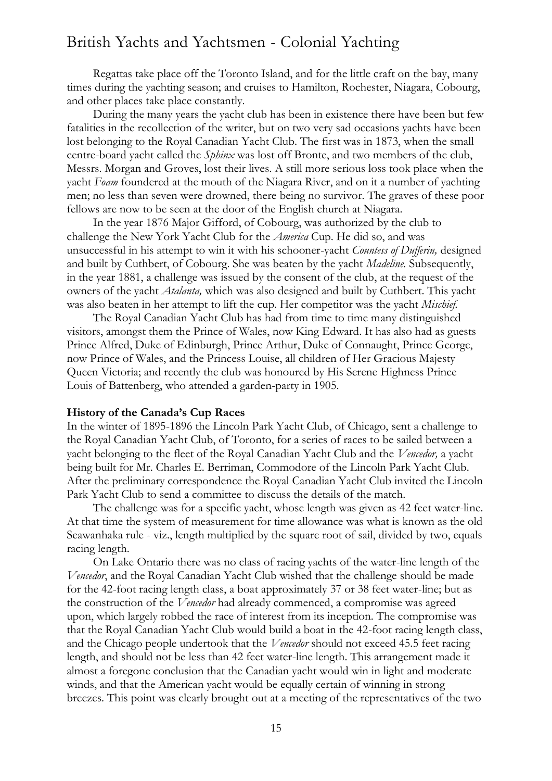Regattas take place off the Toronto Island, and for the little craft on the bay, many times during the yachting season; and cruises to Hamilton, Rochester, Niagara, Cobourg, and other places take place constantly.

During the many years the yacht club has been in existence there have been but few fatalities in the recollection of the writer, but on two very sad occasions yachts have been lost belonging to the Royal Canadian Yacht Club. The first was in 1873, when the small centre-board yacht called the *Sphinx* was lost off Bronte, and two members of the club, Messrs. Morgan and Groves, lost their lives. A still more serious loss took place when the yacht *Foam* foundered at the mouth of the Niagara River, and on it a number of yachting men; no less than seven were drowned, there being no survivor. The graves of these poor fellows are now to be seen at the door of the English church at Niagara.

In the year 1876 Major Gifford, of Cobourg, was authorized by the club to challenge the New York Yacht Club for the *America* Cup. He did so, and was unsuccessful in his attempt to win it with his schooner-yacht *Countess of Dufferin,* designed and built by Cuthbert, of Cobourg. She was beaten by the yacht *Madeline.* Subsequently, in the year 1881, a challenge was issued by the consent of the club, at the request of the owners of the yacht *Atalanta,* which was also designed and built by Cuthbert. This yacht was also beaten in her attempt to lift the cup. Her competitor was the yacht *Mischief.*

The Royal Canadian Yacht Club has had from time to time many distinguished visitors, amongst them the Prince of Wales, now King Edward. It has also had as guests Prince Alfred, Duke of Edinburgh, Prince Arthur, Duke of Connaught, Prince George, now Prince of Wales, and the Princess Louise, all children of Her Gracious Majesty Queen Victoria; and recently the club was honoured by His Serene Highness Prince Louis of Battenberg, who attended a garden-party in 1905.

#### **History of the Canada's Cup Races**

In the winter of 1895-1896 the Lincoln Park Yacht Club, of Chicago, sent a challenge to the Royal Canadian Yacht Club, of Toronto, for a series of races to be sailed between a yacht belonging to the fleet of the Royal Canadian Yacht Club and the *Vencedor,* a yacht being built for Mr. Charles E. Berriman, Commodore of the Lincoln Park Yacht Club. After the preliminary correspondence the Royal Canadian Yacht Club invited the Lincoln Park Yacht Club to send a committee to discuss the details of the match.

The challenge was for a specific yacht, whose length was given as 42 feet water-line. At that time the system of measurement for time allowance was what is known as the old Seawanhaka rule - viz., length multiplied by the square root of sail, divided by two, equals racing length.

On Lake Ontario there was no class of racing yachts of the water-line length of the *Vencedor*, and the Royal Canadian Yacht Club wished that the challenge should be made for the 42-foot racing length class, a boat approximately 37 or 38 feet water-line; but as the construction of the *Vencedor* had already commenced, a compromise was agreed upon, which largely robbed the race of interest from its inception. The compromise was that the Royal Canadian Yacht Club would build a boat in the 42-foot racing length class, and the Chicago people undertook that the *Vencedor* should not exceed 45.5 feet racing length, and should not be less than 42 feet water-line length. This arrangement made it almost a foregone conclusion that the Canadian yacht would win in light and moderate winds, and that the American yacht would be equally certain of winning in strong breezes. This point was clearly brought out at a meeting of the representatives of the two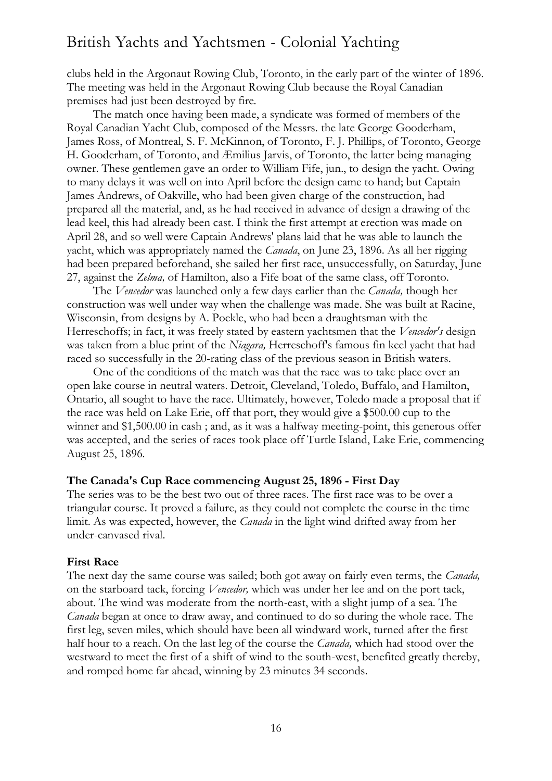clubs held in the Argonaut Rowing Club, Toronto, in the early part of the winter of 1896. The meeting was held in the Argonaut Rowing Club because the Royal Canadian premises had just been destroyed by fire.

The match once having been made, a syndicate was formed of members of the Royal Canadian Yacht Club, composed of the Messrs. the late George Gooderham, James Ross, of Montreal, S. F. McKinnon, of Toronto, F. J. Phillips, of Toronto, George H. Gooderham, of Toronto, and Æmilius Jarvis, of Toronto, the latter being managing owner. These gentlemen gave an order to William Fife, jun., to design the yacht. Owing to many delays it was well on into April before the design came to hand; but Captain James Andrews, of Oakville, who had been given charge of the construction, had prepared all the material, and, as he had received in advance of design a drawing of the lead keel, this had already been cast. I think the first attempt at erection was made on April 28, and so well were Captain Andrews' plans laid that he was able to launch the yacht, which was appropriately named the *Canada*, on June 23, 1896. As all her rigging had been prepared beforehand, she sailed her first race, unsuccessfully, on Saturday, June 27, against the *Zelma,* of Hamilton, also a Fife boat of the same class, off Toronto.

The *Vencedor* was launched only a few days earlier than the *Canada,* though her construction was well under way when the challenge was made. She was built at Racine, Wisconsin, from designs by A. Poekle, who had been a draughtsman with the Herreschoffs; in fact, it was freely stated by eastern yachtsmen that the *Vencedor's* design was taken from a blue print of the *Niagara,* Herreschoff's famous fin keel yacht that had raced so successfully in the 20-rating class of the previous season in British waters.

One of the conditions of the match was that the race was to take place over an open lake course in neutral waters. Detroit, Cleveland, Toledo, Buffalo, and Hamilton, Ontario, all sought to have the race. Ultimately, however, Toledo made a proposal that if the race was held on Lake Erie, off that port, they would give a \$500.00 cup to the winner and \$1,500.00 in cash ; and, as it was a halfway meeting-point, this generous offer was accepted, and the series of races took place off Turtle Island, Lake Erie, commencing August 25, 1896.

#### **The Canada's Cup Race commencing August 25, 1896 - First Day**

The series was to be the best two out of three races. The first race was to be over a triangular course. It proved a failure, as they could not complete the course in the time limit. As was expected, however, the *Canada* in the light wind drifted away from her under-canvased rival.

#### **First Race**

The next day the same course was sailed; both got away on fairly even terms, the *Canada,*  on the starboard tack, forcing *Vencedor,* which was under her lee and on the port tack, about. The wind was moderate from the north-east, with a slight jump of a sea. The *Canada* began at once to draw away, and continued to do so during the whole race. The first leg, seven miles, which should have been all windward work, turned after the first half hour to a reach. On the last leg of the course the *Canada,* which had stood over the westward to meet the first of a shift of wind to the south-west, benefited greatly thereby, and romped home far ahead, winning by 23 minutes 34 seconds.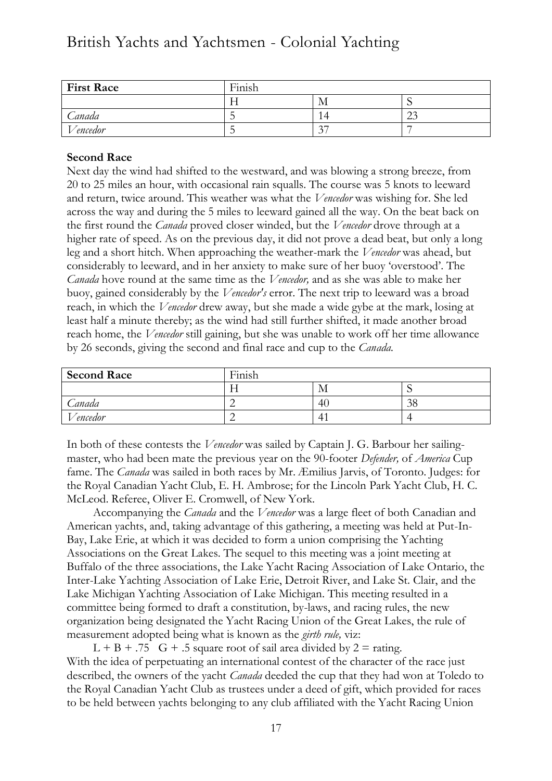| <b>First Race</b> | Finish |        |   |
|-------------------|--------|--------|---|
|                   |        | - IVI  | ໋ |
| Canada            |        |        | ⌒ |
| 'encedor          |        | $\sim$ |   |

## **Second Race**

Next day the wind had shifted to the westward, and was blowing a strong breeze, from 20 to 25 miles an hour, with occasional rain squalls. The course was 5 knots to leeward and return, twice around. This weather was what the *Vencedor* was wishing for. She led across the way and during the 5 miles to leeward gained all the way. On the beat back on the first round the *Canada* proved closer winded, but the *Vencedor* drove through at a higher rate of speed. As on the previous day, it did not prove a dead beat, but only a long leg and a short hitch. When approaching the weather-mark the *Vencedor* was ahead, but considerably to leeward, and in her anxiety to make sure of her buoy 'overstood'. The *Canada* hove round at the same time as the *Vencedor,* and as she was able to make her buoy, gained considerably by the *Vencedor's* error. The next trip to leeward was a broad reach, in which the *Vencedor* drew away, but she made a wide gybe at the mark, losing at least half a minute thereby; as the wind had still further shifted, it made another broad reach home, the *Vencedor* still gaining, but she was unable to work off her time allowance by 26 seconds, giving the second and final race and cup to the *Canada.*

| <b>Second Race</b> | Finish |    |              |
|--------------------|--------|----|--------------|
|                    |        | M  |              |
| Canada             | ∸      | 4( | $\sim$<br>ാറ |
| Vencedor           |        | 4  |              |

In both of these contests the *Vencedor* was sailed by Captain J. G. Barbour her sailingmaster, who had been mate the previous year on the 90-footer *Defender,* of *America* Cup fame. The *Canada* was sailed in both races by Mr. Æmilius Jarvis, of Toronto. Judges: for the Royal Canadian Yacht Club, E. H. Ambrose; for the Lincoln Park Yacht Club, H. C. McLeod. Referee, Oliver E. Cromwell, of New York.

Accompanying the *Canada* and the *Vencedor* was a large fleet of both Canadian and American yachts, and, taking advantage of this gathering, a meeting was held at Put-In-Bay, Lake Erie, at which it was decided to form a union comprising the Yachting Associations on the Great Lakes. The sequel to this meeting was a joint meeting at Buffalo of the three associations, the Lake Yacht Racing Association of Lake Ontario, the Inter-Lake Yachting Association of Lake Erie, Detroit River, and Lake St. Clair, and the Lake Michigan Yachting Association of Lake Michigan. This meeting resulted in a committee being formed to draft a constitution, by-laws, and racing rules, the new organization being designated the Yacht Racing Union of the Great Lakes, the rule of measurement adopted being what is known as the *girth rule,* viz:

 $L + B + .75$  G + .5 square root of sail area divided by  $2 =$  rating. With the idea of perpetuating an international contest of the character of the race just described, the owners of the yacht *Canada* deeded the cup that they had won at Toledo to the Royal Canadian Yacht Club as trustees under a deed of gift, which provided for races to be held between yachts belonging to any club affiliated with the Yacht Racing Union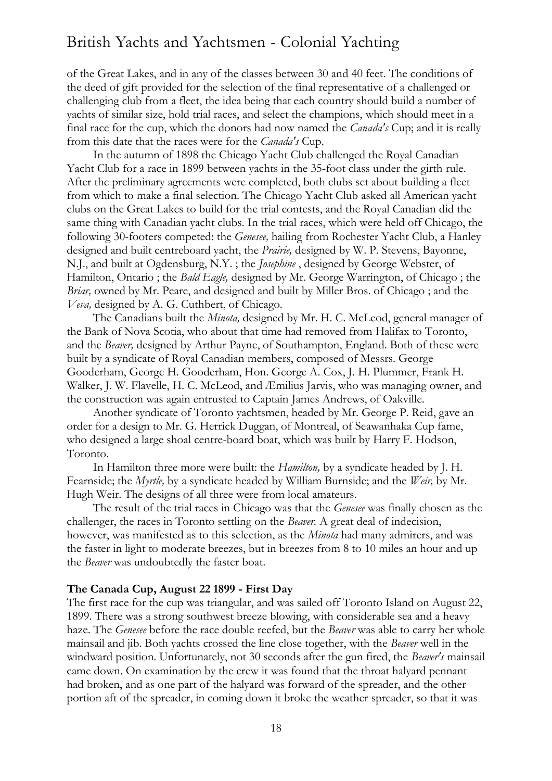of the Great Lakes, and in any of the classes between 30 and 40 feet. The conditions of the deed of gift provided for the selection of the final representative of a challenged or challenging club from a fleet, the idea being that each country should build a number of yachts of similar size, hold trial races, and select the champions, which should meet in a final race for the cup, which the donors had now named the *Canada's* Cup; and it is really from this date that the races were for the *Canada's* Cup.

In the autumn of 1898 the Chicago Yacht Club challenged the Royal Canadian Yacht Club for a race in 1899 between yachts in the 35-foot class under the girth rule. After the preliminary agreements were completed, both clubs set about building a fleet from which to make a final selection. The Chicago Yacht Club asked all American yacht clubs on the Great Lakes to build for the trial contests, and the Royal Canadian did the same thing with Canadian yacht clubs. In the trial races, which were held off Chicago, the following 30-footers competed: the *Genesee,* hailing from Rochester Yacht Club, a Hanley designed and built centreboard yacht, the *Prairie,* designed by W. P. Stevens, Bayonne, N.J., and built at Ogdensburg, N.Y. ; the *Josephine* , designed by George Webster, of Hamilton, Ontario ; the *Bald Eagle,* designed by Mr. George Warrington, of Chicago ; the *Briar,* owned by Mr. Peare, and designed and built by Miller Bros. of Chicago ; and the *Veva,* designed by A. G. Cuthbert, of Chicago.

The Canadians built the *Minota,* designed by Mr. H. C. McLeod, general manager of the Bank of Nova Scotia, who about that time had removed from Halifax to Toronto, and the *Beaver,* designed by Arthur Payne, of Southampton, England. Both of these were built by a syndicate of Royal Canadian members, composed of Messrs. George Gooderham, George H. Gooderham, Hon. George A. Cox, J. H. Plummer, Frank H. Walker, J. W. Flavelle, H. C. McLeod, and Æmilius Jarvis, who was managing owner, and the construction was again entrusted to Captain James Andrews, of Oakville.

Another syndicate of Toronto yachtsmen, headed by Mr. George P. Reid, gave an order for a design to Mr. G. Herrick Duggan, of Montreal, of Seawanhaka Cup fame, who designed a large shoal centre-board boat, which was built by Harry F. Hodson, Toronto.

In Hamilton three more were built: the *Hamilton,* by a syndicate headed by J. H. Fearnside; the *Myrtle,* by a syndicate headed by William Burnside; and the *Weir,* by Mr. Hugh Weir. The designs of all three were from local amateurs.

The result of the trial races in Chicago was that the *Genesee* was finally chosen as the challenger, the races in Toronto settling on the *Beaver.* A great deal of indecision, however, was manifested as to this selection, as the *Minota* had many admirers, and was the faster in light to moderate breezes, but in breezes from 8 to 10 miles an hour and up the *Beaver* was undoubtedly the faster boat.

#### **The Canada Cup, August 22 1899 - First Day**

The first race for the cup was triangular, and was sailed off Toronto Island on August 22, 1899. There was a strong southwest breeze blowing, with considerable sea and a heavy haze. The *Genesee* before the race double reefed, but the *Beaver* was able to carry her whole mainsail and jib. Both yachts crossed the line close together, with the *Beaver* well in the windward position. Unfortunately, not 30 seconds after the gun fired, the *Beaver's* mainsail came down. On examination by the crew it was found that the throat halyard pennant had broken, and as one part of the halyard was forward of the spreader, and the other portion aft of the spreader, in coming down it broke the weather spreader, so that it was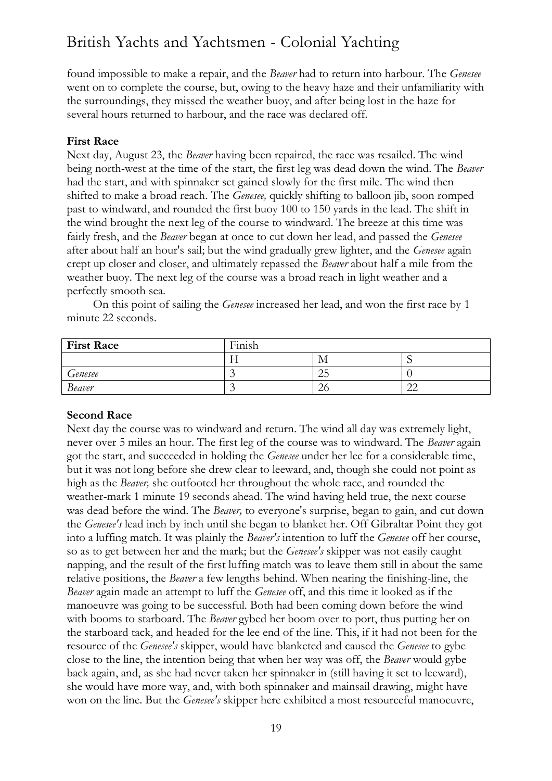found impossible to make a repair, and the *Beaver* had to return into harbour. The *Genesee*  went on to complete the course, but, owing to the heavy haze and their unfamiliarity with the surroundings, they missed the weather buoy, and after being lost in the haze for several hours returned to harbour, and the race was declared off.

## **First Race**

Next day, August 23, the *Beaver* having been repaired, the race was resailed. The wind being north-west at the time of the start, the first leg was dead down the wind. The *Beaver*  had the start, and with spinnaker set gained slowly for the first mile. The wind then shifted to make a broad reach. The *Genesee,* quickly shifting to balloon jib, soon romped past to windward, and rounded the first buoy 100 to 150 yards in the lead. The shift in the wind brought the next leg of the course to windward. The breeze at this time was fairly fresh, and the *Beaver* began at once to cut down her lead, and passed the *Genesee*  after about half an hour's sail; but the wind gradually grew lighter, and the *Genesee* again crept up closer and closer, and ultimately repassed the *Beaver* about half a mile from the weather buoy. The next leg of the course was a broad reach in light weather and a perfectly smooth sea.

On this point of sailing the *Genesee* increased her lead, and won the first race by 1 minute 22 seconds.

| <b>First Race</b> | Finish |     |    |
|-------------------|--------|-----|----|
|                   | 1 T    | IV. | ., |
| Genesee           |        | ∠∟  |    |
| <b>Beaver</b>     |        | ∠∖  | ∸  |

### **Second Race**

Next day the course was to windward and return. The wind all day was extremely light, never over 5 miles an hour. The first leg of the course was to windward. The *Beaver* again got the start, and succeeded in holding the *Genesee* under her lee for a considerable time, but it was not long before she drew clear to leeward, and, though she could not point as high as the *Beaver,* she outfooted her throughout the whole race, and rounded the weather-mark 1 minute 19 seconds ahead. The wind having held true, the next course was dead before the wind. The *Beaver,* to everyone's surprise, began to gain, and cut down the *Genesee's* lead inch by inch until she began to blanket her. Off Gibraltar Point they got into a luffing match. It was plainly the *Beaver's* intention to luff the *Genesee* off her course, so as to get between her and the mark; but the *Genesee's* skipper was not easily caught napping, and the result of the first luffing match was to leave them still in about the same relative positions, the *Beaver* a few lengths behind. When nearing the finishing-line, the *Beaver* again made an attempt to luff the *Genesee* off, and this time it looked as if the manoeuvre was going to be successful. Both had been coming down before the wind with booms to starboard. The *Beaver* gybed her boom over to port, thus putting her on the starboard tack, and headed for the lee end of the line. This, if it had not been for the resource of the *Genesee's* skipper, would have blanketed and caused the *Genesee* to gybe close to the line, the intention being that when her way was off, the *Beaver* would gybe back again, and, as she had never taken her spinnaker in (still having it set to leeward), she would have more way, and, with both spinnaker and mainsail drawing, might have won on the line. But the *Genesee's* skipper here exhibited a most resourceful manoeuvre,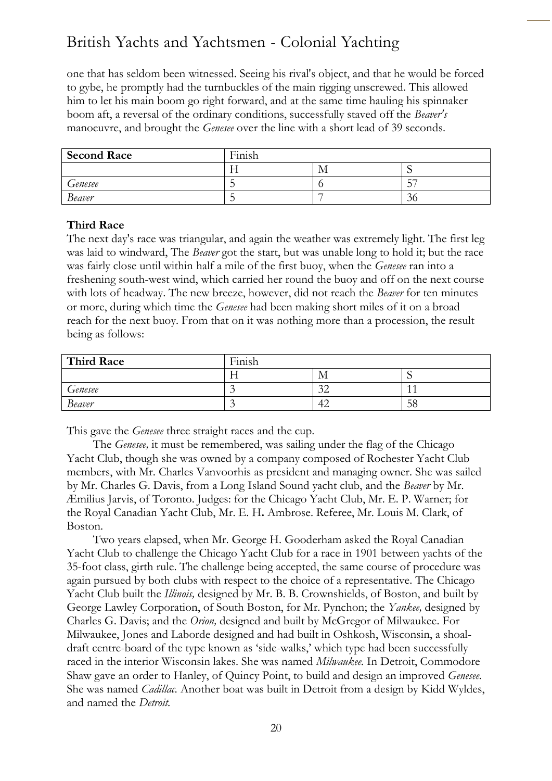one that has seldom been witnessed. Seeing his rival's object, and that he would be forced to gybe, he promptly had the turnbuckles of the main rigging unscrewed. This allowed him to let his main boom go right forward, and at the same time hauling his spinnaker boom aft, a reversal of the ordinary conditions, successfully staved off the *Beaver's*  manoeuvre, and brought the *Genesee* over the line with a short lead of 39 seconds.

| <b>Second Race</b> | $\cdots$<br>Finish |     |           |
|--------------------|--------------------|-----|-----------|
|                    |                    | IV. |           |
| Genesee            |                    |     | $ -$<br>◡ |
| <b>Beaver</b>      |                    |     | .30       |

#### **Third Race**

The next day's race was triangular, and again the weather was extremely light. The first leg was laid to windward, The *Beaver* got the start, but was unable long to hold it; but the race was fairly close until within half a mile of the first buoy, when the *Genesee* ran into a freshening south-west wind, which carried her round the buoy and off on the next course with lots of headway. The new breeze, however, did not reach the *Beaver* for ten minutes or more, during which time the *Genesee* had been making short miles of it on a broad reach for the next buoy. From that on it was nothing more than a procession, the result being as follows:

| <b>Third Race</b> | Finish |               |    |  |
|-------------------|--------|---------------|----|--|
|                   |        | IМ            |    |  |
| Genesee           | $\sim$ | $\sim$<br>⊸ ∠ |    |  |
| <b>Beaver</b>     | ~      | 42            | 58 |  |

This gave the *Genesee* three straight races and the cup.

The *Genesee,* it must be remembered, was sailing under the flag of the Chicago Yacht Club, though she was owned by a company composed of Rochester Yacht Club members, with Mr. Charles Vanvoorhis as president and managing owner. She was sailed by Mr. Charles G. Davis, from a Long Island Sound yacht club, and the *Beaver* by Mr. Æmilius Jarvis, of Toronto. Judges: for the Chicago Yacht Club, Mr. E. P. Warner; for the Royal Canadian Yacht Club, Mr. E. H**.** Ambrose. Referee, Mr. Louis M. Clark, of Boston.

Two years elapsed, when Mr. George H. Gooderham asked the Royal Canadian Yacht Club to challenge the Chicago Yacht Club for a race in 1901 between yachts of the 35-foot class, girth rule. The challenge being accepted, the same course of procedure was again pursued by both clubs with respect to the choice of a representative. The Chicago Yacht Club built the *Illinois,* designed by Mr. B. B. Crownshields, of Boston, and built by George Lawley Corporation, of South Boston, for Mr. Pynchon; the *Yankee,* designed by Charles G. Davis; and the *Orion,* designed and built by McGregor of Milwaukee. For Milwaukee, Jones and Laborde designed and had built in Oshkosh, Wisconsin, a shoaldraft centre-board of the type known as 'side-walks,' which type had been successfully raced in the interior Wisconsin lakes. She was named *Milwaukee.* In Detroit, Commodore Shaw gave an order to Hanley, of Quincy Point, to build and design an improved *Genesee.*  She was named *Cadillac.* Another boat was built in Detroit from a design by Kidd Wyldes, and named the *Detroit.*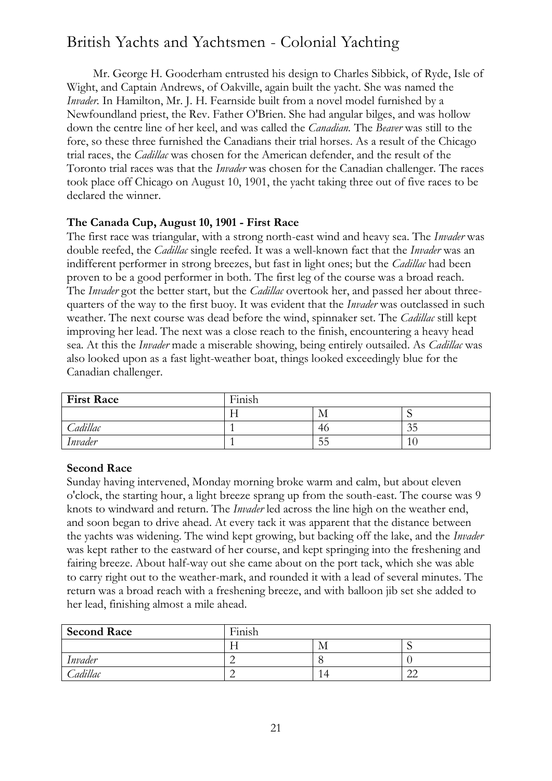Mr. George H. Gooderham entrusted his design to Charles Sibbick, of Ryde, Isle of Wight, and Captain Andrews, of Oakville, again built the yacht. She was named the *Invader.* In Hamilton, Mr. J. H. Fearnside built from a novel model furnished by a Newfoundland priest, the Rev. Father O'Brien. She had angular bilges, and was hollow down the centre line of her keel, and was called the *Canadian.* The *Beaver* was still to the fore, so these three furnished the Canadians their trial horses. As a result of the Chicago trial races, the *Cadillac* was chosen for the American defender, and the result of the Toronto trial races was that the *Invader* was chosen for the Canadian challenger. The races took place off Chicago on August 10, 1901, the yacht taking three out of five races to be declared the winner.

## **The Canada Cup, August 10, 1901 - First Race**

The first race was triangular, with a strong north-east wind and heavy sea. The *Invader* was double reefed, the *Cadillac* single reefed. It was a well-known fact that the *Invader* was an indifferent performer in strong breezes, but fast in light ones; but the *Cadillac* had been proven to be a good performer in both. The first leg of the course was a broad reach. The *Invader* got the better start, but the *Cadillac* overtook her, and passed her about threequarters of the way to the first buoy. It was evident that the *Invader* was outclassed in such weather. The next course was dead before the wind, spinnaker set. The *Cadillac* still kept improving her lead. The next was a close reach to the finish, encountering a heavy head sea. At this the *Invader* made a miserable showing, being entirely outsailed. As *Cadillac* was also looked upon as a fast light-weather boat, things looked exceedingly blue for the Canadian challenger.

| <b>First Race</b> | Finish |    |         |  |
|-------------------|--------|----|---------|--|
|                   |        | М  |         |  |
| Cadillac          |        | 46 | 35      |  |
| Invader           |        | 55 | $10 \,$ |  |

## **Second Race**

Sunday having intervened, Monday morning broke warm and calm, but about eleven o'clock, the starting hour, a light breeze sprang up from the south-east. The course was 9 knots to windward and return. The *Invader* led across the line high on the weather end, and soon began to drive ahead. At every tack it was apparent that the distance between the yachts was widening. The wind kept growing, but backing off the lake, and the *Invader*  was kept rather to the eastward of her course, and kept springing into the freshening and fairing breeze. About half-way out she came about on the port tack, which she was able to carry right out to the weather-mark, and rounded it with a lead of several minutes. The return was a broad reach with a freshening breeze, and with balloon jib set she added to her lead, finishing almost a mile ahead.

| <b>Second Race</b> | $\mathbf{r}$ $\mathbf{r}$ $\mathbf{r}$<br>Finish |     |              |
|--------------------|--------------------------------------------------|-----|--------------|
|                    |                                                  | 1V. |              |
| Invader            |                                                  |     |              |
| Cadillac           |                                                  |     | $\cap$<br>∠∠ |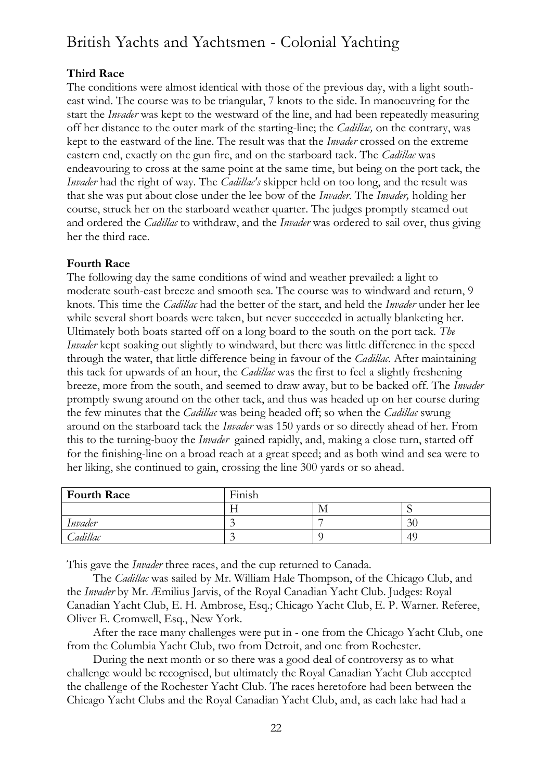## **Third Race**

The conditions were almost identical with those of the previous day, with a light southeast wind. The course was to be triangular, 7 knots to the side. In manoeuvring for the start the *Invader* was kept to the westward of the line, and had been repeatedly measuring off her distance to the outer mark of the starting-line; the *Cadillac,* on the contrary, was kept to the eastward of the line. The result was that the *Invader* crossed on the extreme eastern end, exactly on the gun fire, and on the starboard tack. The *Cadillac* was endeavouring to cross at the same point at the same time, but being on the port tack, the *Invader* had the right of way. The *Cadillac's* skipper held on too long, and the result was that she was put about close under the lee bow of the *Invader.* The *Invader,* holding her course, struck her on the starboard weather quarter. The judges promptly steamed out and ordered the *Cadillac* to withdraw, and the *Invader* was ordered to sail over, thus giving her the third race.

## **Fourth Race**

The following day the same conditions of wind and weather prevailed: a light to moderate south-east breeze and smooth sea. The course was to windward and return, 9 knots. This time the *Cadillac* had the better of the start, and held the *Invader* under her lee while several short boards were taken, but never succeeded in actually blanketing her. Ultimately both boats started off on a long board to the south on the port tack. *The Invader* kept soaking out slightly to windward, but there was little difference in the speed through the water, that little difference being in favour of the *Cadillac.* After maintaining this tack for upwards of an hour, the *Cadillac* was the first to feel a slightly freshening breeze, more from the south, and seemed to draw away, but to be backed off. The *Invader*  promptly swung around on the other tack, and thus was headed up on her course during the few minutes that the *Cadillac* was being headed off; so when the *Cadillac* swung around on the starboard tack the *Invader* was 150 yards or so directly ahead of her. From this to the turning-buoy the *Invader* gained rapidly, and, making a close turn, started off for the finishing-line on a broad reach at a great speed; and as both wind and sea were to her liking, she continued to gain, crossing the line 300 yards or so ahead.

| <b>Fourth Race</b> | .<br>Finish |     |    |
|--------------------|-------------|-----|----|
|                    |             | 1VI |    |
| Invader            |             |     | 30 |
| Cadillac           | $\sim$      |     | 49 |

This gave the *Invader* three races, and the cup returned to Canada.

The *Cadillac* was sailed by Mr. William Hale Thompson, of the Chicago Club, and the *Invader* by Mr. Æmilius Jarvis, of the Royal Canadian Yacht Club. Judges: Royal Canadian Yacht Club, E. H. Ambrose, Esq.; Chicago Yacht Club, E. P. Warner. Referee, Oliver E. Cromwell, Esq., New York.

After the race many challenges were put in - one from the Chicago Yacht Club, one from the Columbia Yacht Club, two from Detroit, and one from Rochester.

During the next month or so there was a good deal of controversy as to what challenge would be recognised, but ultimately the Royal Canadian Yacht Club accepted the challenge of the Rochester Yacht Club. The races heretofore had been between the Chicago Yacht Clubs and the Royal Canadian Yacht Club, and, as each lake had had a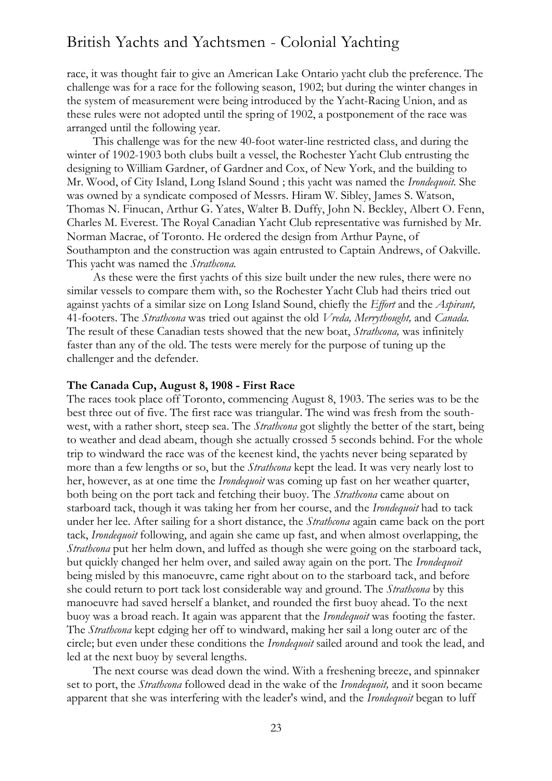race, it was thought fair to give an American Lake Ontario yacht club the preference. The challenge was for a race for the following season, 1902; but during the winter changes in the system of measurement were being introduced by the Yacht-Racing Union, and as these rules were not adopted until the spring of 1902, a postponement of the race was arranged until the following year.

This challenge was for the new 40-foot water-line restricted class, and during the winter of 1902-1903 both clubs built a vessel, the Rochester Yacht Club entrusting the designing to William Gardner, of Gardner and Cox, of New York, and the building to Mr. Wood, of City Island, Long Island Sound ; this yacht was named the *Irondequoit.* She was owned by a syndicate composed of Messrs. Hiram W. Sibley, James S. Watson, Thomas N. Finucan, Arthur G. Yates, Walter B. Duffy, John N. Beckley, Albert O. Fenn, Charles M. Everest. The Royal Canadian Yacht Club representative was furnished by Mr. Norman Macrae, of Toronto. He ordered the design from Arthur Payne, of Southampton and the construction was again entrusted to Captain Andrews, of Oakville. This yacht was named the *Strathcona.*

As these were the first yachts of this size built under the new rules, there were no similar vessels to compare them with, so the Rochester Yacht Club had theirs tried out against yachts of a similar size on Long Island Sound, chiefly the *Effort* and the *Aspirant,*  41-footers. The *Strathcona* was tried out against the old *Vreda, Merrythought,* and *Canada.*  The result of these Canadian tests showed that the new boat, *Strathcona,* was infinitely faster than any of the old. The tests were merely for the purpose of tuning up the challenger and the defender.

#### **The Canada Cup, August 8, 1908 - First Race**

The races took place off Toronto, commencing August 8, 1903. The series was to be the best three out of five. The first race was triangular. The wind was fresh from the southwest, with a rather short, steep sea. The *Strathcona* got slightly the better of the start, being to weather and dead abeam, though she actually crossed 5 seconds behind. For the whole trip to windward the race was of the keenest kind, the yachts never being separated by more than a few lengths or so, but the *Strathcona* kept the lead. It was very nearly lost to her, however, as at one time the *Irondequoit* was coming up fast on her weather quarter, both being on the port tack and fetching their buoy. The *Strathcona* came about on starboard tack, though it was taking her from her course, and the *Irondequoit* had to tack under her lee. After sailing for a short distance, the *Strathcona* again came back on the port tack, *Irondequoit* following, and again she came up fast, and when almost overlapping, the *Strathcona* put her helm down, and luffed as though she were going on the starboard tack, but quickly changed her helm over, and sailed away again on the port. The *Irondequoit*  being misled by this manoeuvre, came right about on to the starboard tack, and before she could return to port tack lost considerable way and ground. The *Strathcona* by this manoeuvre had saved herself a blanket, and rounded the first buoy ahead. To the next buoy was a broad reach. It again was apparent that the *Irondequoit* was footing the faster. The *Strathcona* kept edging her off to windward, making her sail a long outer arc of the circle; but even under these conditions the *Irondequoit* sailed around and took the lead, and led at the next buoy by several lengths.

The next course was dead down the wind. With a freshening breeze, and spinnaker set to port, the *Strathcona* followed dead in the wake of the *Irondequoit,* and it soon became apparent that she was interfering with the leader's wind, and the *Irondequoit* began to luff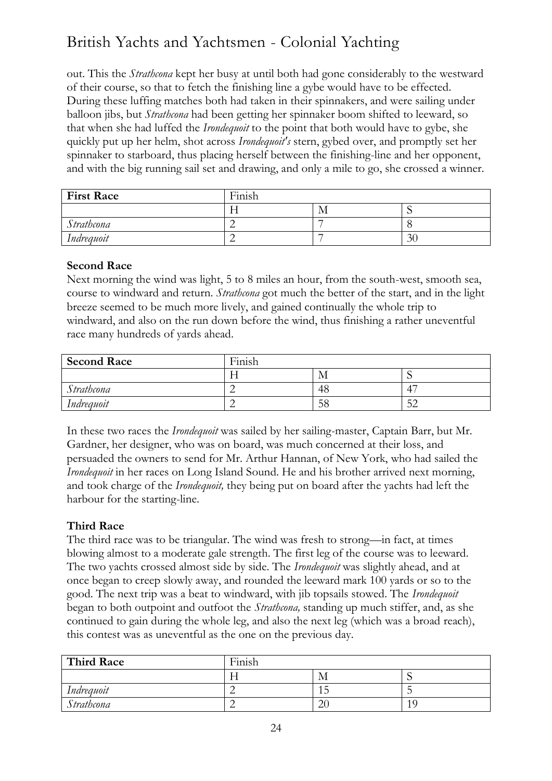out. This the *Strathcona* kept her busy at until both had gone considerably to the westward of their course, so that to fetch the finishing line a gybe would have to be effected. During these luffing matches both had taken in their spinnakers, and were sailing under balloon jibs, but *Strathcona* had been getting her spinnaker boom shifted to leeward, so that when she had luffed the *Irondequoit* to the point that both would have to gybe, she quickly put up her helm, shot across *Irondequoit's* stern, gybed over, and promptly set her spinnaker to starboard, thus placing herself between the finishing-line and her opponent, and with the big running sail set and drawing, and only a mile to go, she crossed a winner.

| <b>First Race</b> | Finish |    |                          |
|-------------------|--------|----|--------------------------|
|                   | . .    | IМ | $\overline{\phantom{a}}$ |
| Strathcona        |        |    |                          |
| Indrequoit        |        |    | 30                       |

## **Second Race**

Next morning the wind was light, 5 to 8 miles an hour, from the south-west, smooth sea, course to windward and return. *Strathcona* got much the better of the start, and in the light breeze seemed to be much more lively, and gained continually the whole trip to windward, and also on the run down before the wind, thus finishing a rather uneventful race many hundreds of yards ahead.

| <b>Second Race</b> | Finish |     |          |
|--------------------|--------|-----|----------|
|                    |        | ΙVΙ |          |
| Strathcona         |        | 48  | 4        |
| Indrequoit         |        | Эŏ  | 51<br>ىر |

In these two races the *Irondequoit* was sailed by her sailing-master, Captain Barr, but Mr. Gardner, her designer, who was on board, was much concerned at their loss, and persuaded the owners to send for Mr. Arthur Hannan, of New York, who had sailed the *Irondequoit* in her races on Long Island Sound. He and his brother arrived next morning, and took charge of the *Irondequoit,* they being put on board after the yachts had left the harbour for the starting-line.

## **Third Race**

The third race was to be triangular. The wind was fresh to strong—in fact, at times blowing almost to a moderate gale strength. The first leg of the course was to leeward. The two yachts crossed almost side by side. The *Irondequoit* was slightly ahead, and at once began to creep slowly away, and rounded the leeward mark 100 yards or so to the good. The next trip was a beat to windward, with jib topsails stowed. The *Irondequoit*  began to both outpoint and outfoot the *Strathcona,* standing up much stiffer, and, as she continued to gain during the whole leg, and also the next leg (which was a broad reach), this contest was as uneventful as the one on the previous day.

| Third Race | $\mathbf{r}$<br>Finish |                    |                      |
|------------|------------------------|--------------------|----------------------|
|            |                        | M                  | $\ddot{\phantom{0}}$ |
| Indrequoit |                        | ັ                  |                      |
| Strathcona |                        | $\mathbf{r}$<br>∠∖ |                      |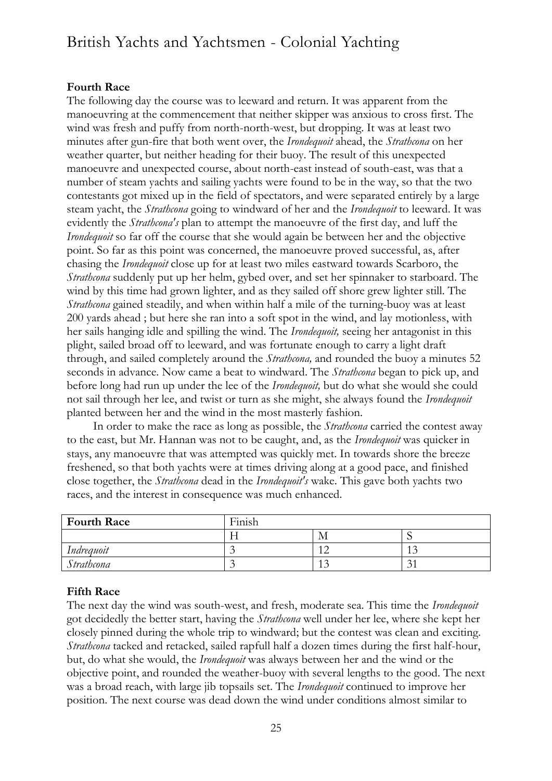### **Fourth Race**

The following day the course was to leeward and return. It was apparent from the manoeuvring at the commencement that neither skipper was anxious to cross first. The wind was fresh and puffy from north-north-west, but dropping. It was at least two minutes after gun-fire that both went over, the *Irondequoit* ahead, the *Strathcona* on her weather quarter, but neither heading for their buoy. The result of this unexpected manoeuvre and unexpected course, about north-east instead of south-east, was that a number of steam yachts and sailing yachts were found to be in the way, so that the two contestants got mixed up in the field of spectators, and were separated entirely by a large steam yacht, the *Strathcona* going to windward of her and the *Irondequoit* to leeward. It was evidently the *Strathcona's* plan to attempt the manoeuvre of the first day, and luff the *Irondequoit* so far off the course that she would again be between her and the objective point. So far as this point was concerned, the manoeuvre proved successful, as, after chasing the *Irondequoit* close up for at least two miles eastward towards Scarboro, the *Strathcona* suddenly put up her helm, gybed over, and set her spinnaker to starboard. The wind by this time had grown lighter, and as they sailed off shore grew lighter still. The *Strathcona* gained steadily, and when within half a mile of the turning-buoy was at least 200 yards ahead ; but here she ran into a soft spot in the wind, and lay motionless, with her sails hanging idle and spilling the wind. The *Irondequoit,* seeing her antagonist in this plight, sailed broad off to leeward, and was fortunate enough to carry a light draft through, and sailed completely around the *Strathcona,* and rounded the buoy a minutes 52 seconds in advance. Now came a beat to windward. The *Strathcona* began to pick up, and before long had run up under the lee of the *Irondequoit,* but do what she would she could not sail through her lee, and twist or turn as she might, she always found the *Irondequoit*  planted between her and the wind in the most masterly fashion.

In order to make the race as long as possible, the *Strathcona* carried the contest away to the east, but Mr. Hannan was not to be caught, and, as the *Irondequoit* was quicker in stays, any manoeuvre that was attempted was quickly met. In towards shore the breeze freshened, so that both yachts were at times driving along at a good pace, and finished close together, the *Strathcona* dead in the *Irondequoit's* wake. This gave both yachts two races, and the interest in consequence was much enhanced.

| <b>Fourth Race</b> | Finish |     |                    |
|--------------------|--------|-----|--------------------|
|                    |        | M   | ີ                  |
| Indrequoit         |        |     | $\sim$<br>ن 1      |
| Strathcona         |        | 1.J | $\sim$<br>́<br>ر ر |

### **Fifth Race**

The next day the wind was south-west, and fresh, moderate sea. This time the *Irondequoit*  got decidedly the better start, having the *Strathcona* well under her lee, where she kept her closely pinned during the whole trip to windward; but the contest was clean and exciting. *Strathcona* tacked and retacked, sailed rapfull half a dozen times during the first half-hour, but, do what she would, the *Irondequoit* was always between her and the wind or the objective point, and rounded the weather-buoy with several lengths to the good. The next was a broad reach, with large jib topsails set. The *Irondequoit* continued to improve her position. The next course was dead down the wind under conditions almost similar to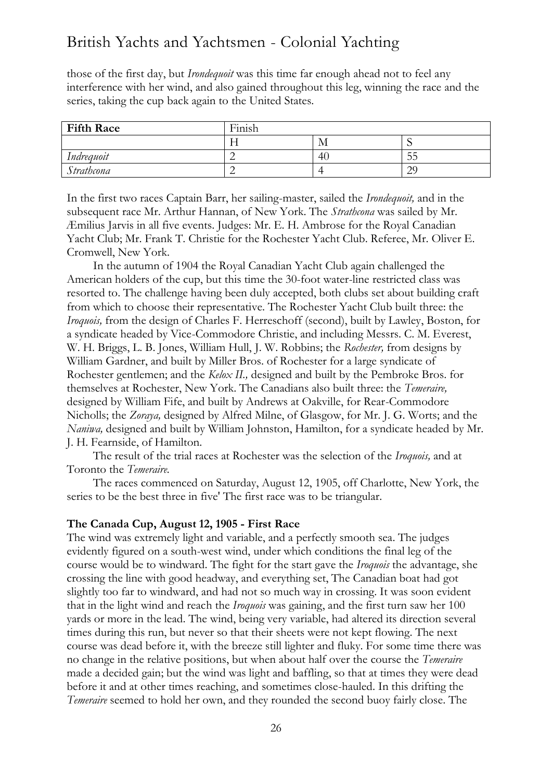those of the first day, but *Irondequoit* was this time far enough ahead not to feel any interference with her wind, and also gained throughout this leg, winning the race and the series, taking the cup back again to the United States.

| <b>Fifth Race</b> | .<br>г.<br>Finish |    |                      |
|-------------------|-------------------|----|----------------------|
|                   |                   | M  |                      |
| Indrequoit        | ∸                 | 40 | -<br>JJ              |
| Strathcona        |                   |    | $\mathcal{D}$<br>ر ب |

In the first two races Captain Barr, her sailing-master, sailed the *Irondequoit,* and in the subsequent race Mr. Arthur Hannan, of New York. The *Strathcona* was sailed by Mr. Æmilius Jarvis in all five events. Judges: Mr. E. H. Ambrose for the Royal Canadian Yacht Club; Mr. Frank T. Christie for the Rochester Yacht Club. Referee, Mr. Oliver E. Cromwell, New York.

In the autumn of 1904 the Royal Canadian Yacht Club again challenged the American holders of the cup, but this time the 30-foot water-line restricted class was resorted to. The challenge having been duly accepted, both clubs set about building craft from which to choose their representative. The Rochester Yacht Club built three: the *Iroquois,* from the design of Charles F. Herreschoff (second), built by Lawley, Boston, for a syndicate headed by Vice-Commodore Christie, and including Messrs. C. M. Everest, W. H. Briggs, L. B. Jones, William Hull, J. W. Robbins; the *Rochester,* from designs by William Gardner, and built by Miller Bros. of Rochester for a large syndicate of Rochester gentlemen; and the *Kelox II.,* designed and built by the Pembroke Bros. for themselves at Rochester, New York. The Canadians also built three: the *Temeraire,*  designed by William Fife, and built by Andrews at Oakville, for Rear-Commodore Nicholls; the *Zoraya,* designed by Alfred Milne, of Glasgow, for Mr. J. G. Worts; and the *Naniwa,* designed and built by William Johnston, Hamilton, for a syndicate headed by Mr. J. H. Fearnside, of Hamilton.

The result of the trial races at Rochester was the selection of the *Iroquois,* and at Toronto the *Temeraire.*

The races commenced on Saturday, August 12, 1905, off Charlotte, New York, the series to be the best three in five' The first race was to be triangular.

#### **The Canada Cup, August 12, 1905 - First Race**

The wind was extremely light and variable, and a perfectly smooth sea. The judges evidently figured on a south-west wind, under which conditions the final leg of the course would be to windward. The fight for the start gave the *Iroquois* the advantage, she crossing the line with good headway, and everything set, The Canadian boat had got slightly too far to windward, and had not so much way in crossing. It was soon evident that in the light wind and reach the *Iroquois* was gaining, and the first turn saw her 100 yards or more in the lead. The wind, being very variable, had altered its direction several times during this run, but never so that their sheets were not kept flowing. The next course was dead before it, with the breeze still lighter and fluky. For some time there was no change in the relative positions, but when about half over the course the *Temeraire*  made a decided gain; but the wind was light and baffling, so that at times they were dead before it and at other times reaching, and sometimes close-hauled. In this drifting the *Temeraire* seemed to hold her own, and they rounded the second buoy fairly close. The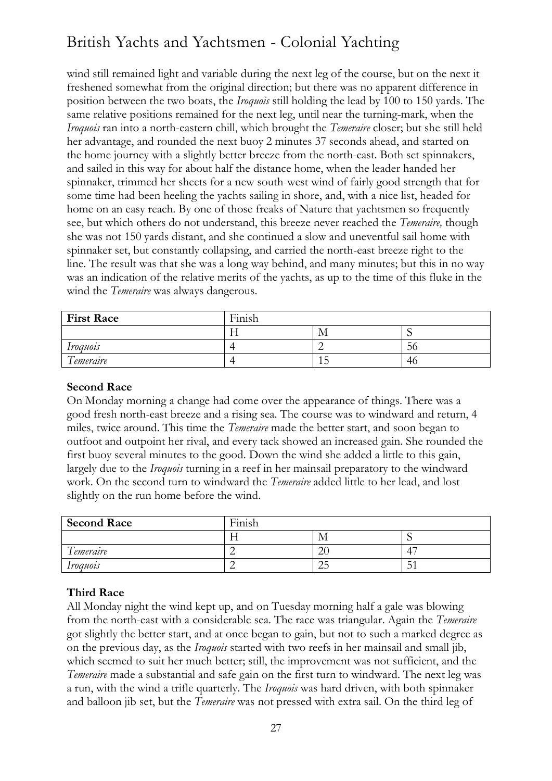wind still remained light and variable during the next leg of the course, but on the next it freshened somewhat from the original direction; but there was no apparent difference in position between the two boats, the *Iroquois* still holding the lead by 100 to 150 yards. The same relative positions remained for the next leg, until near the turning-mark, when the *Iroquois* ran into a north-eastern chill, which brought the *Temeraire* closer; but she still held her advantage, and rounded the next buoy 2 minutes 37 seconds ahead, and started on the home journey with a slightly better breeze from the north-east. Both set spinnakers, and sailed in this way for about half the distance home, when the leader handed her spinnaker, trimmed her sheets for a new south-west wind of fairly good strength that for some time had been heeling the yachts sailing in shore, and, with a nice list, headed for home on an easy reach. By one of those freaks of Nature that yachtsmen so frequently see, but which others do not understand, this breeze never reached the *Temeraire,* though she was not 150 yards distant, and she continued a slow and uneventful sail home with spinnaker set, but constantly collapsing, and carried the north-east breeze right to the line. The result was that she was a long way behind, and many minutes; but this in no way was an indication of the relative merits of the yachts, as up to the time of this fluke in the wind the *Temeraire* was always dangerous.

| <b>First Race</b>             | Finish |    |     |
|-------------------------------|--------|----|-----|
|                               | 1 T    | IМ |     |
| <i><u><b>Iroquois</b></u></i> |        |    | 56  |
| Temeraire                     |        |    | -46 |

### **Second Race**

On Monday morning a change had come over the appearance of things. There was a good fresh north-east breeze and a rising sea. The course was to windward and return, 4 miles, twice around. This time the *Temeraire* made the better start, and soon began to outfoot and outpoint her rival, and every tack showed an increased gain. She rounded the first buoy several minutes to the good. Down the wind she added a little to this gain, largely due to the *Iroquois* turning in a reef in her mainsail preparatory to the windward work. On the second turn to windward the *Temeraire* added little to her lead, and lost slightly on the run home before the wind.

| <b>Second Race</b>             | Finish |                  |              |
|--------------------------------|--------|------------------|--------------|
|                                |        | IМ               |              |
| $\sqrt{1}$<br><i>Lemeraire</i> |        | ∩.<br>$\Delta U$ | 4            |
| <i><u><b>Iroquois</b></u></i>  |        | ت ک              | -<br>∽<br>IJ |

## **Third Race**

All Monday night the wind kept up, and on Tuesday morning half a gale was blowing from the north-east with a considerable sea. The race was triangular. Again the *Temeraire*  got slightly the better start, and at once began to gain, but not to such a marked degree as on the previous day, as the *Iroquois* started with two reefs in her mainsail and small jib, which seemed to suit her much better; still, the improvement was not sufficient, and the *Temeraire* made a substantial and safe gain on the first turn to windward. The next leg was a run, with the wind a trifle quarterly. The *Iroquois* was hard driven, with both spinnaker and balloon jib set, but the *Temeraire* was not pressed with extra sail. On the third leg of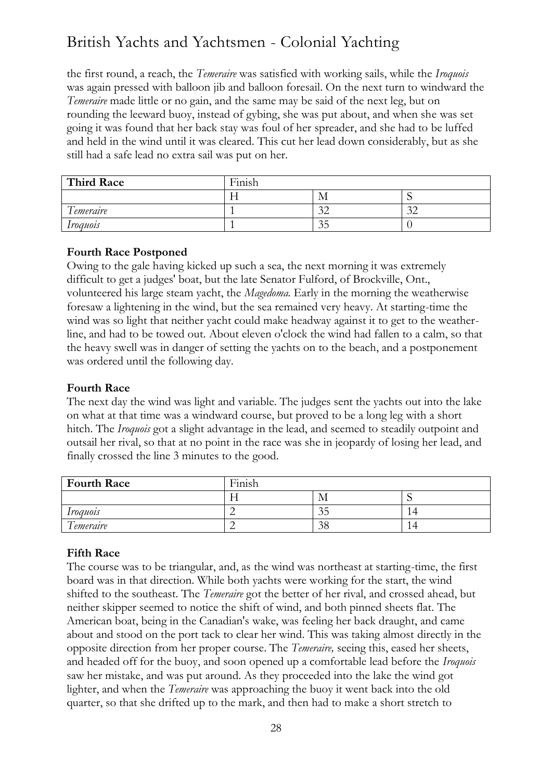the first round, a reach, the *Temeraire* was satisfied with working sails, while the *Iroquois*  was again pressed with balloon jib and balloon foresail. On the next turn to windward the *Temeraire* made little or no gain, and the same may be said of the next leg, but on rounding the leeward buoy, instead of gybing, she was put about, and when she was set going it was found that her back stay was foul of her spreader, and she had to be luffed and held in the wind until it was cleared. This cut her lead down considerably, but as she still had a safe lead no extra sail was put on her.

| <b>Third Race</b>               | Finish |               |                      |
|---------------------------------|--------|---------------|----------------------|
|                                 |        | IVI           |                      |
| $\sqrt{ }$<br><i>l</i> emeraire |        | $\sim$        | 2 <sub>2</sub><br>ىر |
| Iroauois                        |        | $\sim$<br>ر ر |                      |

## **Fourth Race Postponed**

Owing to the gale having kicked up such a sea, the next morning it was extremely difficult to get a judges' boat, but the late Senator Fulford, of Brockville, Ont., volunteered his large steam yacht, the *Magedoma.* Early in the morning the weatherwise foresaw a lightening in the wind, but the sea remained very heavy. At starting-time the wind was so light that neither yacht could make headway against it to get to the weatherline, and had to be towed out. About eleven o'clock the wind had fallen to a calm, so that the heavy swell was in danger of setting the yachts on to the beach, and a postponement was ordered until the following day.

## **Fourth Race**

The next day the wind was light and variable. The judges sent the yachts out into the lake on what at that time was a windward course, but proved to be a long leg with a short hitch. The *Iroquois* got a slight advantage in the lead, and seemed to steadily outpoint and outsail her rival, so that at no point in the race was she in jeopardy of losing her lead, and finally crossed the line 3 minutes to the good.

| <b>Fourth Race</b>            | $\mathbf{r}$<br>.<br>Finish |     |           |
|-------------------------------|-----------------------------|-----|-----------|
|                               |                             | ΙVΙ | <b>L.</b> |
| <i><u><b>Iroquois</b></u></i> | -                           | ت ر | 14        |
| $\sqrt{ }$<br>I emeraire      | ∸                           | рŏ  | 14        |

## **Fifth Race**

The course was to be triangular, and, as the wind was northeast at starting-time, the first board was in that direction. While both yachts were working for the start, the wind shifted to the southeast. The *Temeraire* got the better of her rival, and crossed ahead, but neither skipper seemed to notice the shift of wind, and both pinned sheets flat. The American boat, being in the Canadian's wake, was feeling her back draught, and came about and stood on the port tack to clear her wind. This was taking almost directly in the opposite direction from her proper course. The *Temeraire,* seeing this, eased her sheets, and headed off for the buoy, and soon opened up a comfortable lead before the *Iroquois*  saw her mistake, and was put around. As they proceeded into the lake the wind got lighter, and when the *Temeraire* was approaching the buoy it went back into the old quarter, so that she drifted up to the mark, and then had to make a short stretch to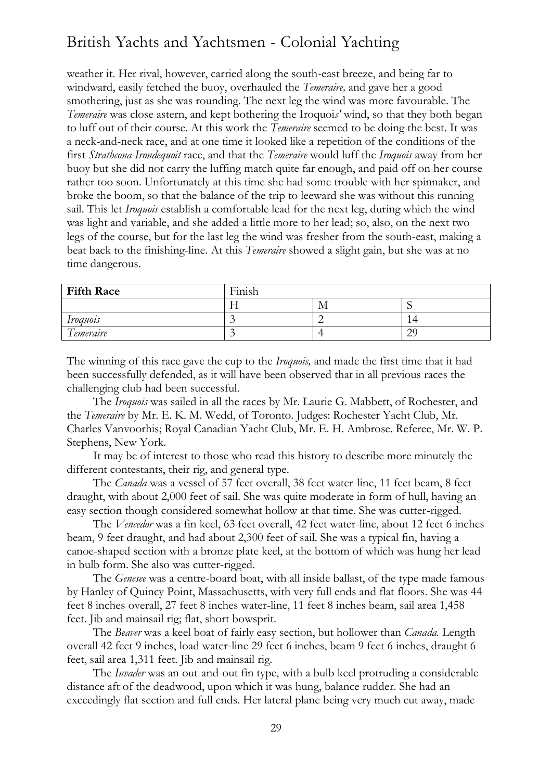weather it. Her rival, however, carried along the south-east breeze, and being far to windward, easily fetched the buoy, overhauled the *Temeraire,* and gave her a good smothering, just as she was rounding. The next leg the wind was more favourable. The *Temeraire* was close astern, and kept bothering the Iroquoi*s'* wind, so that they both began to luff out of their course. At this work the *Temeraire* seemed to be doing the best. It was a neck-and-neck race, and at one time it looked like a repetition of the conditions of the first *Strathcona-Irondequoit* race, and that the *Temeraire* would luff the *Iroquois* away from her buoy but she did not carry the luffing match quite far enough, and paid off on her course rather too soon. Unfortunately at this time she had some trouble with her spinnaker, and broke the boom, so that the balance of the trip to leeward she was without this running sail. This let *Iroquois* establish a comfortable lead for the next leg, during which the wind was light and variable, and she added a little more to her lead; so, also, on the next two legs of the course, but for the last leg the wind was fresher from the south-east, making a beat back to the finishing-line. At this *Temeraire* showed a slight gain, but she was at no time dangerous.

| <b>Fifth Race</b>             | Finish |     |                                            |
|-------------------------------|--------|-----|--------------------------------------------|
|                               |        | ΙVΙ | .,                                         |
| <i><u><b>Iroquois</b></u></i> |        |     | $\overline{\phantom{a}}$<br>$\overline{4}$ |
| Temeraire                     |        |     | $\gamma$<br>تە                             |

The winning of this race gave the cup to the *Iroquois,* and made the first time that it had been successfully defended, as it will have been observed that in all previous races the challenging club had been successful.

The *Iroquois* was sailed in all the races by Mr. Laurie G. Mabbett, of Rochester, and the *Temeraire* by Mr. E. K. M. Wedd, of Toronto. Judges: Rochester Yacht Club, Mr. Charles Vanvoorhis; Royal Canadian Yacht Club, Mr. E. H. Ambrose. Referee, Mr. W. P. Stephens, New York.

It may be of interest to those who read this history to describe more minutely the different contestants, their rig, and general type.

The *Canada* was a vessel of 57 feet overall, 38 feet water-line, 11 feet beam, 8 feet draught, with about 2,000 feet of sail. She was quite moderate in form of hull, having an easy section though considered somewhat hollow at that time. She was cutter-rigged.

The *Vencedor* was a fin keel, 63 feet overall, 42 feet water-line, about 12 feet 6 inches beam, 9 feet draught, and had about 2,300 feet of sail. She was a typical fin, having a canoe-shaped section with a bronze plate keel, at the bottom of which was hung her lead in bulb form. She also was cutter-rigged.

The *Genesee* was a centre-board boat, with all inside ballast, of the type made famous by Hanley of Quincy Point, Massachusetts, with very full ends and flat floors. She was 44 feet 8 inches overall, 27 feet 8 inches water-line, 11 feet 8 inches beam, sail area 1,458 feet. Jib and mainsail rig; flat, short bowsprit.

The *Beaver* was a keel boat of fairly easy section, but hollower than *Canada.* Length overall 42 feet 9 inches, load water-line 29 feet 6 inches, beam 9 feet 6 inches, draught 6 feet, sail area 1,311 feet. Jib and mainsail rig.

The *Invader* was an out-and-out fin type, with a bulb keel protruding a considerable distance aft of the deadwood, upon which it was hung, balance rudder. She had an exceedingly flat section and full ends. Her lateral plane being very much cut away, made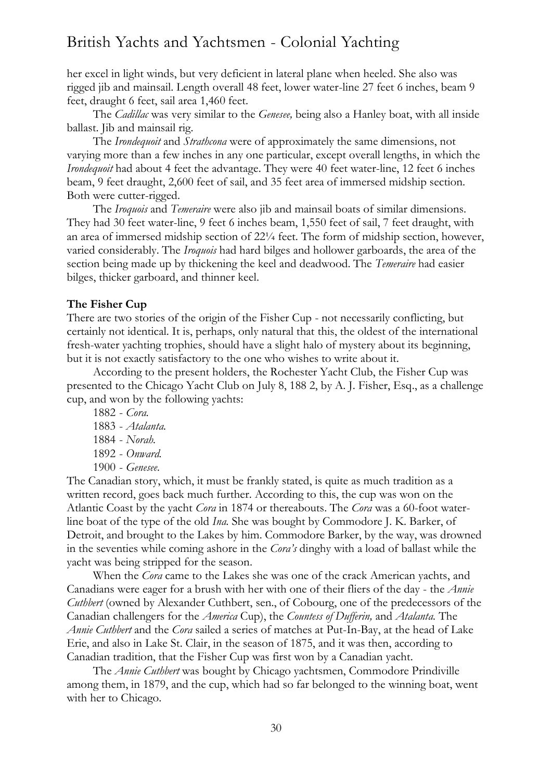her excel in light winds, but very deficient in lateral plane when heeled. She also was rigged jib and mainsail. Length overall 48 feet, lower water-line 27 feet 6 inches, beam 9 feet, draught 6 feet, sail area 1,460 feet.

The *Cadillac* was very similar to the *Genesee,* being also a Hanley boat, with all inside ballast. Jib and mainsail rig.

The *Irondequoit* and *Strathcona* were of approximately the same dimensions, not varying more than a few inches in any one particular, except overall lengths, in which the *Irondequoit* had about 4 feet the advantage. They were 40 feet water-line, 12 feet 6 inches beam, 9 feet draught, 2,600 feet of sail, and 35 feet area of immersed midship section. Both were cutter-rigged.

The *Iroquois* and *Temeraire* were also jib and mainsail boats of similar dimensions. They had 30 feet water-line, 9 feet 6 inches beam, 1,550 feet of sail, 7 feet draught, with an area of immersed midship section of 22¼ feet. The form of midship section, however, varied considerably. The *Iroquois* had hard bilges and hollower garboards, the area of the section being made up by thickening the keel and deadwood. The *Temeraire* had easier bilges, thicker garboard, and thinner keel.

### **The Fisher Cup**

There are two stories of the origin of the Fisher Cup - not necessarily conflicting, but certainly not identical. It is, perhaps, only natural that this, the oldest of the international fresh-water yachting trophies, should have a slight halo of mystery about its beginning, but it is not exactly satisfactory to the one who wishes to write about it.

According to the present holders, the Rochester Yacht Club, the Fisher Cup was presented to the Chicago Yacht Club on July 8, 188 2, by A. J. Fisher, Esq., as a challenge cup, and won by the following yachts:

1882 - *Cora.* 1883 - *Atalanta.* 1884 - *Norah.* 1892 - *Onward.* 1900 - *Genesee.*

The Canadian story, which, it must be frankly stated, is quite as much tradition as a written record, goes back much further. According to this, the cup was won on the Atlantic Coast by the yacht *Cora* in 1874 or thereabouts. The *Cora* was a 60-foot waterline boat of the type of the old *Ina.* She was bought by Commodore J. K. Barker, of Detroit, and brought to the Lakes by him. Commodore Barker, by the way, was drowned in the seventies while coming ashore in the *Cora's* dinghy with a load of ballast while the yacht was being stripped for the season.

When the *Cora* came to the Lakes she was one of the crack American yachts, and Canadians were eager for a brush with her with one of their fliers of the day - the *Annie Cuthbert* (owned by Alexander Cuthbert, sen., of Cobourg, one of the predecessors of the Canadian challengers for the *America* Cup), the *Countess of Dufferin,* and *Atalanta.* The *Annie Cuthbert* and the *Cora* sailed a series of matches at Put-In-Bay, at the head of Lake Erie, and also in Lake St. Clair, in the season of 1875, and it was then, according to Canadian tradition, that the Fisher Cup was first won by a Canadian yacht.

The *Annie Cuthbert* was bought by Chicago yachtsmen, Commodore Prindiville among them, in 1879, and the cup, which had so far belonged to the winning boat, went with her to Chicago.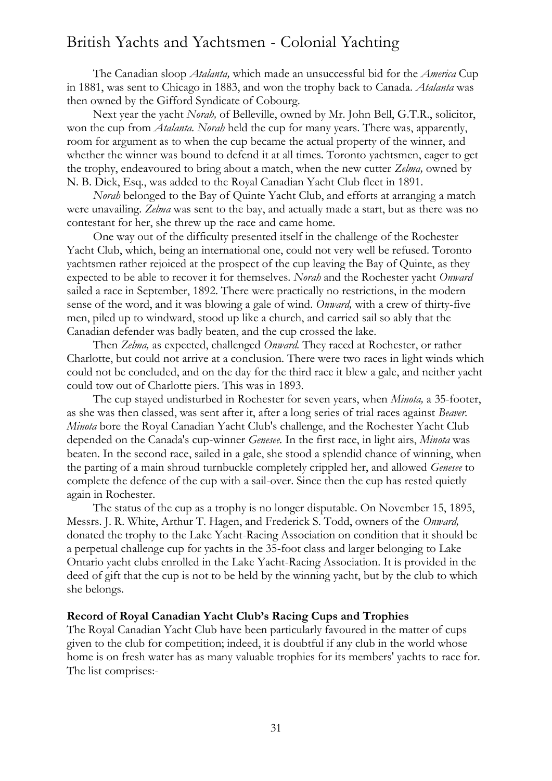The Canadian sloop *Atalanta,* which made an unsuccessful bid for the *America* Cup in 1881, was sent to Chicago in 1883, and won the trophy back to Canada. *Atalanta* was then owned by the Gifford Syndicate of Cobourg.

Next year the yacht *Norah,* of Belleville, owned by Mr. John Bell, G.T.R., solicitor, won the cup from *Atalanta. Norah* held the cup for many years. There was, apparently, room for argument as to when the cup became the actual property of the winner, and whether the winner was bound to defend it at all times. Toronto yachtsmen, eager to get the trophy, endeavoured to bring about a match, when the new cutter *Zelma,* owned by N. B. Dick, Esq., was added to the Royal Canadian Yacht Club fleet in 1891.

*Norah* belonged to the Bay of Quinte Yacht Club, and efforts at arranging a match were unavailing. *Zelma* was sent to the bay, and actually made a start, but as there was no contestant for her, she threw up the race and came home.

One way out of the difficulty presented itself in the challenge of the Rochester Yacht Club, which, being an international one, could not very well be refused. Toronto yachtsmen rather rejoiced at the prospect of the cup leaving the Bay of Quinte, as they expected to be able to recover it for themselves. *Norah* and the Rochester yacht *Onward*  sailed a race in September, 1892. There were practically no restrictions, in the modern sense of the word, and it was blowing a gale of wind. *Onward,* with a crew of thirty-five men, piled up to windward, stood up like a church, and carried sail so ably that the Canadian defender was badly beaten, and the cup crossed the lake.

Then *Zelma,* as expected, challenged *Onward.* They raced at Rochester, or rather Charlotte, but could not arrive at a conclusion. There were two races in light winds which could not be concluded, and on the day for the third race it blew a gale, and neither yacht could tow out of Charlotte piers. This was in 1893.

The cup stayed undisturbed in Rochester for seven years, when *Minota,* a 35-footer, as she was then classed, was sent after it, after a long series of trial races against *Beaver. Minota* bore the Royal Canadian Yacht Club's challenge, and the Rochester Yacht Club depended on the Canada's cup-winner *Genesee.* In the first race, in light airs, *Minota* was beaten. In the second race, sailed in a gale, she stood a splendid chance of winning, when the parting of a main shroud turnbuckle completely crippled her, and allowed *Genesee* to complete the defence of the cup with a sail-over. Since then the cup has rested quietly again in Rochester.

The status of the cup as a trophy is no longer disputable. On November 15, 1895, Messrs. J. R. White, Arthur T. Hagen, and Frederick S. Todd, owners of the *Onward,*  donated the trophy to the Lake Yacht-Racing Association on condition that it should be a perpetual challenge cup for yachts in the 35-foot class and larger belonging to Lake Ontario yacht clubs enrolled in the Lake Yacht-Racing Association. It is provided in the deed of gift that the cup is not to be held by the winning yacht, but by the club to which she belongs.

#### **Record of Royal Canadian Yacht Club's Racing Cups and Trophies**

The Royal Canadian Yacht Club have been particularly favoured in the matter of cups given to the club for competition; indeed, it is doubtful if any club in the world whose home is on fresh water has as many valuable trophies for its members' yachts to race for. The list comprises:-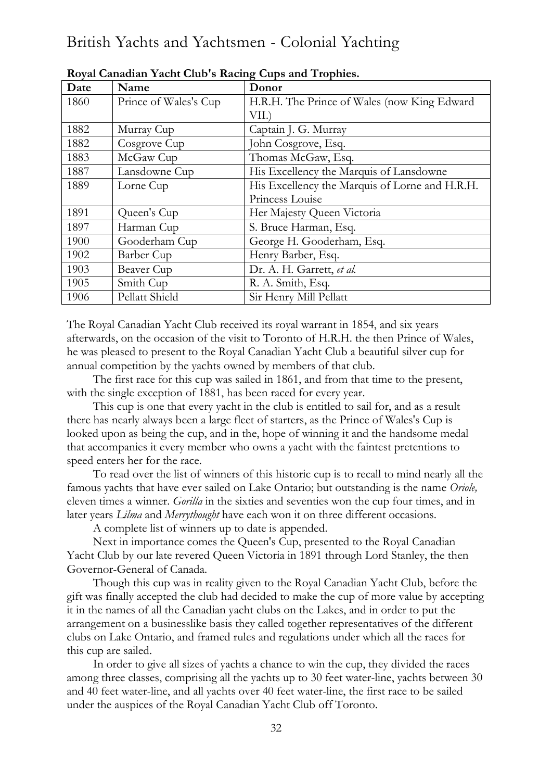| Date | Name                  | Donor                                          |
|------|-----------------------|------------------------------------------------|
| 1860 | Prince of Wales's Cup | H.R.H. The Prince of Wales (now King Edward    |
|      |                       | VII.)                                          |
| 1882 | Murray Cup            | Captain J. G. Murray                           |
| 1882 | Cosgrove Cup          | John Cosgrove, Esq.                            |
| 1883 | McGaw Cup             | Thomas McGaw, Esq.                             |
| 1887 | Lansdowne Cup         | His Excellency the Marquis of Lansdowne        |
| 1889 | Lorne Cup             | His Excellency the Marquis of Lorne and H.R.H. |
|      |                       | Princess Louise                                |
| 1891 | Queen's Cup           | Her Majesty Queen Victoria                     |
| 1897 | Harman Cup            | S. Bruce Harman, Esq.                          |
| 1900 | Gooderham Cup         | George H. Gooderham, Esq.                      |
| 1902 | Barber Cup            | Henry Barber, Esq.                             |
| 1903 | Beaver Cup            | Dr. A. H. Garrett, et al.                      |
| 1905 | Smith Cup             | R. A. Smith, Esq.                              |
| 1906 | Pellatt Shield        | Sir Henry Mill Pellatt                         |

### **Royal Canadian Yacht Club's Racing Cups and Trophies.**

The Royal Canadian Yacht Club received its royal warrant in 1854, and six years afterwards, on the occasion of the visit to Toronto of H.R.H. the then Prince of Wales, he was pleased to present to the Royal Canadian Yacht Club a beautiful silver cup for annual competition by the yachts owned by members of that club.

The first race for this cup was sailed in 1861, and from that time to the present, with the single exception of 1881, has been raced for every year.

This cup is one that every yacht in the club is entitled to sail for, and as a result there has nearly always been a large fleet of starters, as the Prince of Wales's Cup is looked upon as being the cup, and in the, hope of winning it and the handsome medal that accompanies it every member who owns a yacht with the faintest pretentions to speed enters her for the race.

To read over the list of winners of this historic cup is to recall to mind nearly all the famous yachts that have ever sailed on Lake Ontario; but outstanding is the name *Oriole,*  eleven times a winner. *Gorilla* in the sixties and seventies won the cup four times, and in later years *Lilma* and *Merrythought* have each won it on three different occasions.

A complete list of winners up to date is appended.

Next in importance comes the Queen's Cup, presented to the Royal Canadian Yacht Club by our late revered Queen Victoria in 1891 through Lord Stanley, the then Governor-General of Canada.

Though this cup was in reality given to the Royal Canadian Yacht Club, before the gift was finally accepted the club had decided to make the cup of more value by accepting it in the names of all the Canadian yacht clubs on the Lakes, and in order to put the arrangement on a businesslike basis they called together representatives of the different clubs on Lake Ontario, and framed rules and regulations under which all the races for this cup are sailed.

In order to give all sizes of yachts a chance to win the cup, they divided the races among three classes, comprising all the yachts up to 30 feet water-line, yachts between 30 and 40 feet water-line, and all yachts over 40 feet water-line, the first race to be sailed under the auspices of the Royal Canadian Yacht Club off Toronto.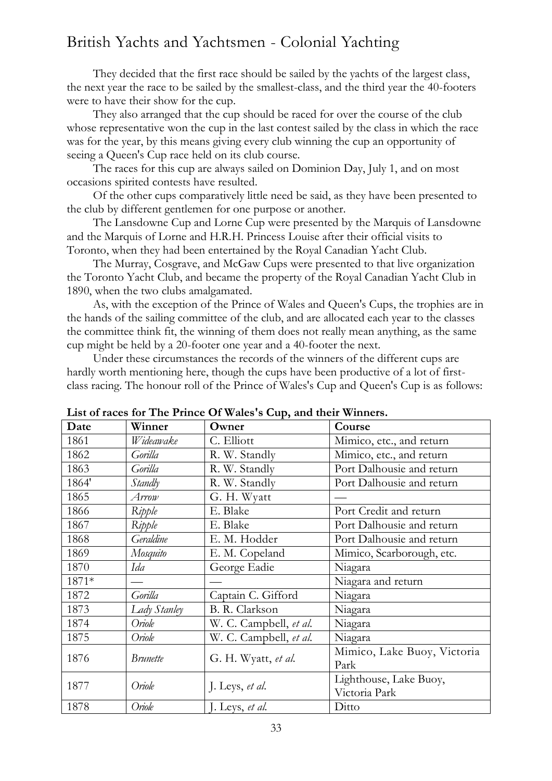They decided that the first race should be sailed by the yachts of the largest class, the next year the race to be sailed by the smallest-class, and the third year the 40-footers were to have their show for the cup.

They also arranged that the cup should be raced for over the course of the club whose representative won the cup in the last contest sailed by the class in which the race was for the year, by this means giving every club winning the cup an opportunity of seeing a Queen's Cup race held on its club course.

The races for this cup are always sailed on Dominion Day, July 1, and on most occasions spirited contests have resulted.

Of the other cups comparatively little need be said, as they have been presented to the club by different gentlemen for one purpose or another.

The Lansdowne Cup and Lorne Cup were presented by the Marquis of Lansdowne and the Marquis of Lorne and H.R.H. Princess Louise after their official visits to Toronto, when they had been entertained by the Royal Canadian Yacht Club.

The Murray, Cosgrave, and McGaw Cups were presented to that live organization the Toronto Yacht Club, and became the property of the Royal Canadian Yacht Club in 1890, when the two clubs amalgamated.

As, with the exception of the Prince of Wales and Queen's Cups, the trophies are in the hands of the sailing committee of the club, and are allocated each year to the classes the committee think fit, the winning of them does not really mean anything, as the same cup might be held by a 20-footer one year and a 40-footer the next.

Under these circumstances the records of the winners of the different cups are hardly worth mentioning here, though the cups have been productive of a lot of firstclass racing. The honour roll of the Prince of Wales's Cup and Queen's Cup is as follows:

| Date  | Winner          | Owner                  | Course                      |
|-------|-----------------|------------------------|-----------------------------|
| 1861  | Wideawake       | C. Elliott             | Mimico, etc., and return    |
| 1862  | Gorilla         | R. W. Standly          | Mimico, etc., and return    |
| 1863  | Gorilla         | R. W. Standly          | Port Dalhousie and return   |
| 1864' | Standly         | R. W. Standly          | Port Dalhousie and return   |
| 1865  | Arrow           | G. H. Wyatt            |                             |
| 1866  | Ripple          | E. Blake               | Port Credit and return      |
| 1867  | Ripple          | E. Blake               | Port Dalhousie and return   |
| 1868  | Geraldine       | E. M. Hodder           | Port Dalhousie and return   |
| 1869  | Mosquito        | E. M. Copeland         | Mimico, Scarborough, etc.   |
| 1870  | Ida             | George Eadie           | Niagara                     |
| 1871* |                 |                        | Niagara and return          |
| 1872  | Gorilla         | Captain C. Gifford     | Niagara                     |
| 1873  | Lady Stanley    | B. R. Clarkson         | Niagara                     |
| 1874  | Oriole          | W. C. Campbell, et al. | Niagara                     |
| 1875  | Oriole          | W. C. Campbell, et al. | Niagara                     |
| 1876  | <b>Brunette</b> | G. H. Wyatt, et al.    | Mimico, Lake Buoy, Victoria |
|       |                 |                        | Park                        |
| 1877  | Oriole          | J. Leys, et al.        | Lighthouse, Lake Buoy,      |
|       |                 | Victoria Park          |                             |
| 1878  | Oriole          | J. Leys, et al.        | Ditto                       |

**List of races for The Prince Of Wales's Cup, and their Winners.**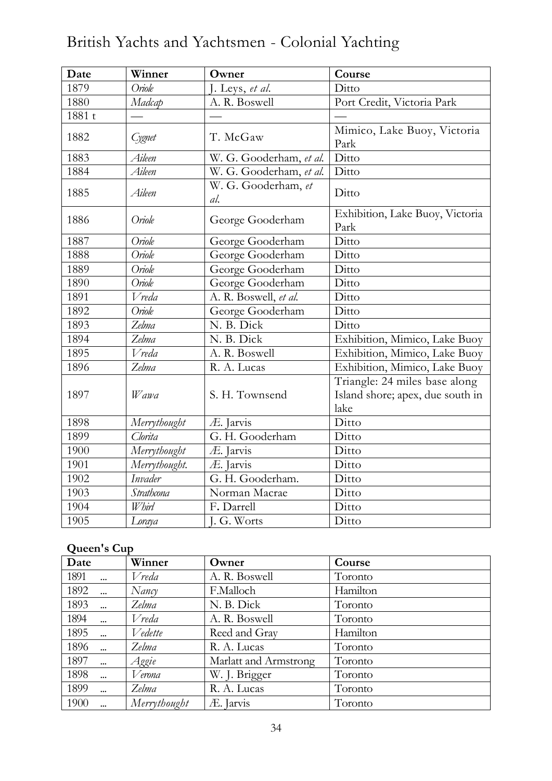| Date   | Winner        | Owner                      | Course                                                                    |
|--------|---------------|----------------------------|---------------------------------------------------------------------------|
| 1879   | Oriole        | J. Leys, et al.            | Ditto                                                                     |
| 1880   | Madcap        | A. R. Boswell              | Port Credit, Victoria Park                                                |
| 1881 t |               |                            |                                                                           |
| 1882   | Cygnet        | T. McGaw                   | Mimico, Lake Buoy, Victoria<br>Park                                       |
| 1883   | Aileen        | W. G. Gooderham, et al.    | Ditto                                                                     |
| 1884   | Aileen        | W. G. Gooderham, et al.    | Ditto                                                                     |
| 1885   | Aileen        | W. G. Gooderham, et<br>al. | Ditto                                                                     |
| 1886   | Oriole        | George Gooderham           | Exhibition, Lake Buoy, Victoria<br>Park                                   |
| 1887   | Oriole        | George Gooderham           | Ditto                                                                     |
| 1888   | Oriole        | George Gooderham           | Ditto                                                                     |
| 1889   | Oriole        | George Gooderham           | Ditto                                                                     |
| 1890   | Oriole        | George Gooderham           | Ditto                                                                     |
| 1891   | V reda        | A. R. Boswell, et al.      | Ditto                                                                     |
| 1892   | Oriole        | George Gooderham           | Ditto                                                                     |
| 1893   | Zelma         | N. B. Dick                 | Ditto                                                                     |
| 1894   | Zelma         | N. B. Dick                 | Exhibition, Mimico, Lake Buoy                                             |
| 1895   | <b>V</b> reda | A. R. Boswell              | Exhibition, Mimico, Lake Buoy                                             |
| 1896   | Zelma         | R. A. Lucas                | Exhibition, Mimico, Lake Buoy                                             |
| 1897   | Wawa          | S. H. Townsend             | Triangle: 24 miles base along<br>Island shore; apex, due south in<br>lake |
| 1898   | Merrythought  | Æ. Jarvis                  | Ditto                                                                     |
| 1899   | Clorita       | G. H. Gooderham            | Ditto                                                                     |
| 1900   | Merrythought  | Æ. Jarvis                  | Ditto                                                                     |
| 1901   | Merrythought. | Æ. Jarvis                  | Ditto                                                                     |
| 1902   | Invader       | G. H. Gooderham.           | Ditto                                                                     |
| 1903   | Strathcona    | Norman Macrae              | Ditto                                                                     |
| 1904   | <b>Whirl</b>  | F. Darrell                 | Ditto                                                                     |
| 1905   | Loraya        | J. G. Worts                | Ditto                                                                     |

# **Queen's Cup**

| Date               | Winner       | Owner                 | Course   |
|--------------------|--------------|-----------------------|----------|
| 1891               | Vreda        | A. R. Boswell         | Toronto  |
| 1892<br>$\dddotsc$ | Nancy        | F.Malloch             | Hamilton |
| 1893<br>$\ddotsc$  | Zelma        | N. B. Dick            | Toronto  |
| 1894<br>$\dddotsc$ | Vreda        | A. R. Boswell         | Toronto  |
| 1895               | Vedette      | Reed and Gray         | Hamilton |
| 1896               | Zelma        | R. A. Lucas           | Toronto  |
| 1897<br>$\dddotsc$ | Aggie        | Marlatt and Armstrong | Toronto  |
| 1898               | Verona       | W. J. Brigger         | Toronto  |
| 1899<br>$\ddotsc$  | Zelma        | R. A. Lucas           | Toronto  |
| 1900               | Merrythought | Æ. Jarvis             | Toronto  |